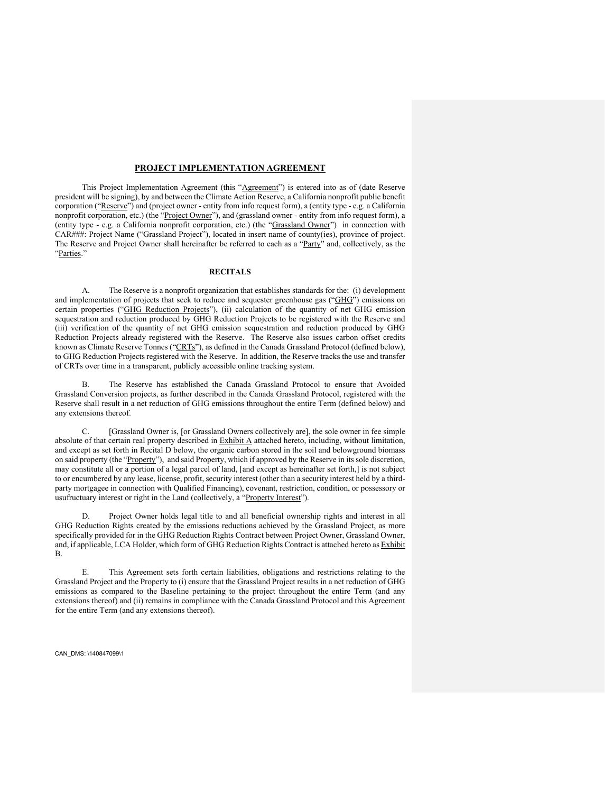#### **PROJECT IMPLEMENTATION AGREEMENT**

This Project Implementation Agreement (this "Agreement") is entered into as of (date Reserve president will be signing), by and between the Climate Action Reserve, a California nonprofit public benefit corporation ("Reserve") and (project owner - entity from info request form), a (entity type - e.g. a California nonprofit corporation, etc.) (the "Project Owner"), and (grassland owner - entity from info request form), a (entity type - e.g. a California nonprofit corporation, etc.) (the "Grassland Owner") in connection with CAR###: Project Name ("Grassland Project"), located in insert name of county(ies), province of project. The Reserve and Project Owner shall hereinafter be referred to each as a "Party" and, collectively, as the "Parties."

#### **RECITALS**

A. The Reserve is a nonprofit organization that establishes standards for the: (i) development and implementation of projects that seek to reduce and sequester greenhouse gas ("GHG") emissions on certain properties ("GHG Reduction Projects"), (ii) calculation of the quantity of net GHG emission sequestration and reduction produced by GHG Reduction Projects to be registered with the Reserve and (iii) verification of the quantity of net GHG emission sequestration and reduction produced by GHG Reduction Projects already registered with the Reserve. The Reserve also issues carbon offset credits known as Climate Reserve Tonnes ("CRTs"), as defined in the Canada Grassland Protocol (defined below), to GHG Reduction Projects registered with the Reserve. In addition, the Reserve tracks the use and transfer of CRTs over time in a transparent, publicly accessible online tracking system.

B. The Reserve has established the Canada Grassland Protocol to ensure that Avoided Grassland Conversion projects, as further described in the Canada Grassland Protocol, registered with the Reserve shall result in a net reduction of GHG emissions throughout the entire Term (defined below) and any extensions thereof.

C. [Grassland Owner is, [or Grassland Owners collectively are], the sole owner in fee simple absolute of that certain real property described in Exhibit A attached hereto, including, without limitation, and except as set forth in Recital D below, the organic carbon stored in the soil and belowground biomass on said property (the "Property"), and said Property, which if approved by the Reserve in its sole discretion, may constitute all or a portion of a legal parcel of land, [and except as hereinafter set forth,] is not subject to or encumbered by any lease, license, profit, security interest (other than a security interest held by a thirdparty mortgagee in connection with Qualified Financing), covenant, restriction, condition, or possessory or usufructuary interest or right in the Land (collectively, a "Property Interest").

D. Project Owner holds legal title to and all beneficial ownership rights and interest in all GHG Reduction Rights created by the emissions reductions achieved by the Grassland Project, as more specifically provided for in the GHG Reduction Rights Contract between Project Owner, Grassland Owner, and, if applicable, LCA Holder, which form of GHG Reduction Rights Contract is attached hereto as Exhibit B.

E. This Agreement sets forth certain liabilities, obligations and restrictions relating to the Grassland Project and the Property to (i) ensure that the Grassland Project results in a net reduction of GHG emissions as compared to the Baseline pertaining to the project throughout the entire Term (and any extensions thereof) and (ii) remains in compliance with the Canada Grassland Protocol and this Agreement for the entire Term (and any extensions thereof).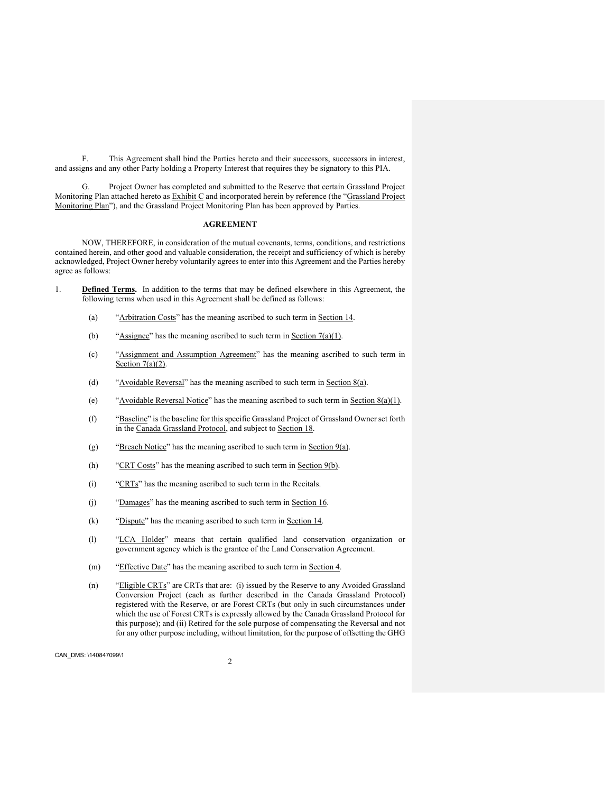F. This Agreement shall bind the Parties hereto and their successors, successors in interest, and assigns and any other Party holding a Property Interest that requires they be signatory to this PIA.

G. Project Owner has completed and submitted to the Reserve that certain Grassland Project Monitoring Plan attached hereto as **Exhibit C** and incorporated herein by reference (the "Grassland Project Monitoring Plan"), and the Grassland Project Monitoring Plan has been approved by Parties.

#### **AGREEMENT**

NOW, THEREFORE, in consideration of the mutual covenants, terms, conditions, and restrictions contained herein, and other good and valuable consideration, the receipt and sufficiency of which is hereby acknowledged, Project Owner hereby voluntarily agrees to enter into this Agreement and the Parties hereby agree as follows:

- 1. **Defined Terms.** In addition to the terms that may be defined elsewhere in this Agreement, the following terms when used in this Agreement shall be defined as follows:
	- (a) "Arbitration Costs" has the meaning ascribed to such term in Section 14.
	- (b) "Assignee" has the meaning ascribed to such term in Section  $7(a)(1)$ .
	- (c) "Assignment and Assumption Agreement" has the meaning ascribed to such term in Section  $7(a)(2)$ .
	- (d) "Avoidable Reversal" has the meaning ascribed to such term in Section  $8(a)$ .
	- (e) "Avoidable Reversal Notice" has the meaning ascribed to such term in Section  $8(a)(1)$ .
	- (f) "Baseline" is the baseline for this specific Grassland Project of Grassland Owner set forth in the Canada Grassland Protocol, and subject to Section 18.
	- (g) "Breach Notice" has the meaning ascribed to such term in Section  $9(a)$ .
	- (h) "CRT Costs" has the meaning ascribed to such term in Section 9(b).
	- (i) "CRTs" has the meaning ascribed to such term in the Recitals.
	- (j) "Damages" has the meaning ascribed to such term in Section 16.
	- (k) "Dispute" has the meaning ascribed to such term in Section 14.
	- (l) "LCA Holder" means that certain qualified land conservation organization or government agency which is the grantee of the Land Conservation Agreement.
	- (m) "Effective Date" has the meaning ascribed to such term in Section 4.
	- (n) "Eligible CRTs" are CRTs that are: (i) issued by the Reserve to any Avoided Grassland Conversion Project (each as further described in the Canada Grassland Protocol) registered with the Reserve, or are Forest CRTs (but only in such circumstances under which the use of Forest CRTs is expressly allowed by the Canada Grassland Protocol for this purpose); and (ii) Retired for the sole purpose of compensating the Reversal and not for any other purpose including, without limitation, for the purpose of offsetting the GHG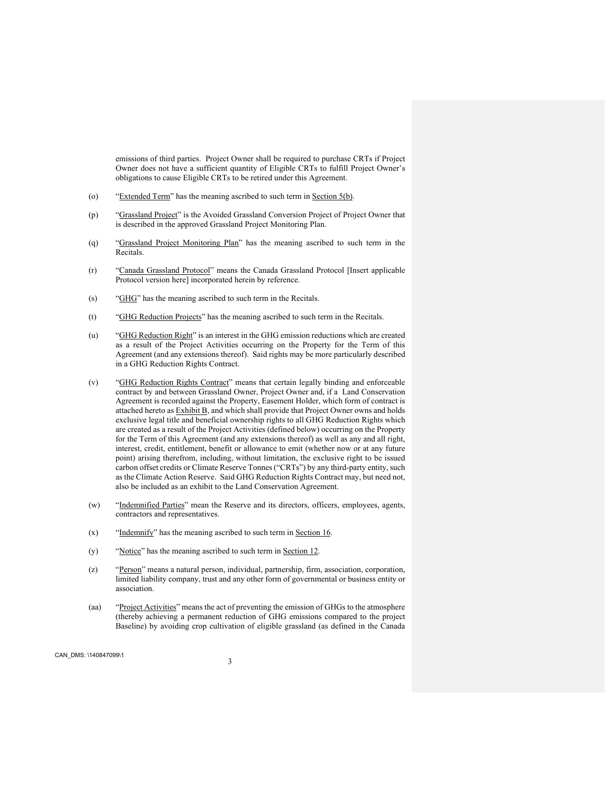emissions of third parties. Project Owner shall be required to purchase CRTs if Project Owner does not have a sufficient quantity of Eligible CRTs to fulfill Project Owner's obligations to cause Eligible CRTs to be retired under this Agreement.

- (o) "Extended Term" has the meaning ascribed to such term in Section  $5(b)$ .
- (p) "Grassland Project" is the Avoided Grassland Conversion Project of Project Owner that is described in the approved Grassland Project Monitoring Plan.
- (q) "Grassland Project Monitoring Plan" has the meaning ascribed to such term in the Recitals.
- (r) "Canada Grassland Protocol" means the Canada Grassland Protocol [Insert applicable Protocol version here] incorporated herein by reference.
- (s) "GHG" has the meaning ascribed to such term in the Recitals.
- (t) "GHG Reduction Projects" has the meaning ascribed to such term in the Recitals.
- (u) "GHG Reduction Right" is an interest in the GHG emission reductions which are created as a result of the Project Activities occurring on the Property for the Term of this Agreement (and any extensions thereof). Said rights may be more particularly described in a GHG Reduction Rights Contract.
- (v) "GHG Reduction Rights Contract" means that certain legally binding and enforceable contract by and between Grassland Owner, Project Owner and, if a Land Conservation Agreement is recorded against the Property, Easement Holder, which form of contract is attached hereto as **Exhibit B**, and which shall provide that Project Owner owns and holds exclusive legal title and beneficial ownership rights to all GHG Reduction Rights which are created as a result of the Project Activities (defined below) occurring on the Property for the Term of this Agreement (and any extensions thereof) as well as any and all right, interest, credit, entitlement, benefit or allowance to emit (whether now or at any future point) arising therefrom, including, without limitation, the exclusive right to be issued carbon offset credits or Climate Reserve Tonnes ("CRTs") by any third-party entity, such as the Climate Action Reserve. Said GHG Reduction Rights Contract may, but need not, also be included as an exhibit to the Land Conservation Agreement.
- (w) "Indemnified Parties" mean the Reserve and its directors, officers, employees, agents, contractors and representatives.
- $(x)$  "Indemnify" has the meaning ascribed to such term in Section 16.
- (y) "Notice" has the meaning ascribed to such term in Section 12.
- (z) "Person" means a natural person, individual, partnership, firm, association, corporation, limited liability company, trust and any other form of governmental or business entity or association.
- (aa) "Project Activities" means the act of preventing the emission of GHGs to the atmosphere (thereby achieving a permanent reduction of GHG emissions compared to the project Baseline) by avoiding crop cultivation of eligible grassland (as defined in the Canada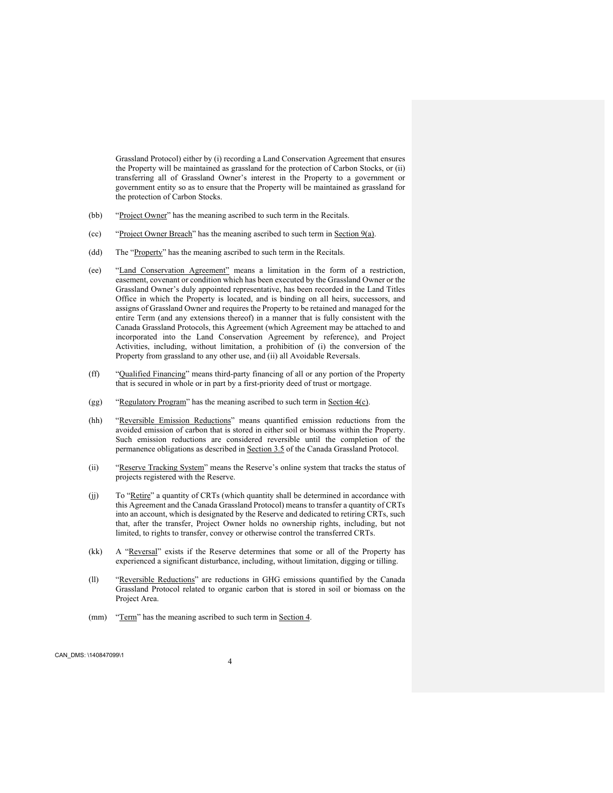Grassland Protocol) either by (i) recording a Land Conservation Agreement that ensures the Property will be maintained as grassland for the protection of Carbon Stocks, or (ii) transferring all of Grassland Owner's interest in the Property to a government or government entity so as to ensure that the Property will be maintained as grassland for the protection of Carbon Stocks.

- (bb) "Project Owner" has the meaning ascribed to such term in the Recitals.
- (cc) "Project Owner Breach" has the meaning ascribed to such term in Section  $9(a)$ .
- (dd) The "Property" has the meaning ascribed to such term in the Recitals.
- (ee) "Land Conservation Agreement" means a limitation in the form of a restriction, easement, covenant or condition which has been executed by the Grassland Owner or the Grassland Owner's duly appointed representative, has been recorded in the Land Titles Office in which the Property is located, and is binding on all heirs, successors, and assigns of Grassland Owner and requires the Property to be retained and managed for the entire Term (and any extensions thereof) in a manner that is fully consistent with the Canada Grassland Protocols, this Agreement (which Agreement may be attached to and incorporated into the Land Conservation Agreement by reference), and Project Activities, including, without limitation, a prohibition of (i) the conversion of the Property from grassland to any other use, and (ii) all Avoidable Reversals.
- (ff) "Qualified Financing" means third-party financing of all or any portion of the Property that is secured in whole or in part by a first-priority deed of trust or mortgage.
- (gg) "Regulatory Program" has the meaning ascribed to such term in Section  $4(c)$ .
- (hh) "Reversible Emission Reductions" means quantified emission reductions from the avoided emission of carbon that is stored in either soil or biomass within the Property. Such emission reductions are considered reversible until the completion of the permanence obligations as described in Section 3.5 of the Canada Grassland Protocol.
- (ii) "Reserve Tracking System" means the Reserve's online system that tracks the status of projects registered with the Reserve.
- (jj) To "Retire" a quantity of CRTs (which quantity shall be determined in accordance with this Agreement and the Canada Grassland Protocol) means to transfer a quantity of CRTs into an account, which is designated by the Reserve and dedicated to retiring CRTs, such that, after the transfer, Project Owner holds no ownership rights, including, but not limited, to rights to transfer, convey or otherwise control the transferred CRTs.
- (kk) A "Reversal" exists if the Reserve determines that some or all of the Property has experienced a significant disturbance, including, without limitation, digging or tilling.
- (ll) "Reversible Reductions" are reductions in GHG emissions quantified by the Canada Grassland Protocol related to organic carbon that is stored in soil or biomass on the Project Area.
- (mm) "Term" has the meaning ascribed to such term in Section 4.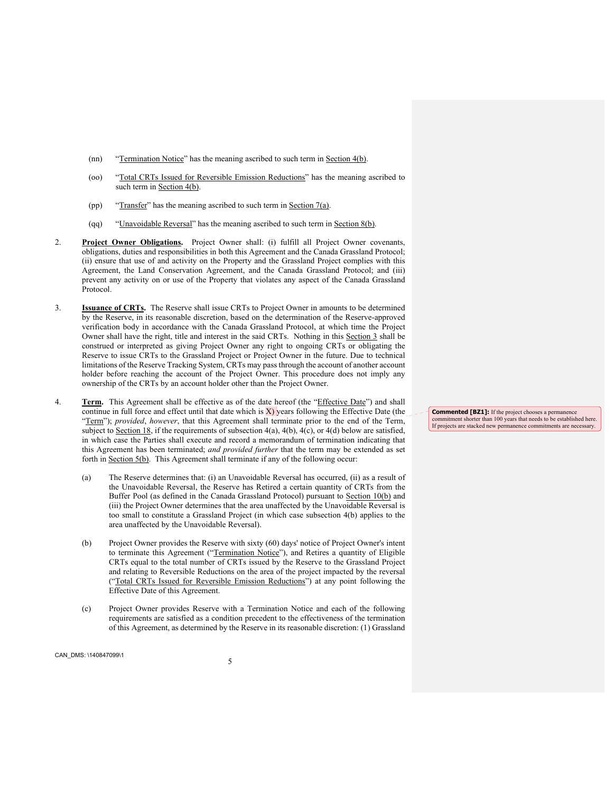- (nn) "Termination Notice" has the meaning ascribed to such term in Section 4(b).
- (oo) "Total CRTs Issued for Reversible Emission Reductions" has the meaning ascribed to such term in Section 4(b).
- (pp) "Transfer" has the meaning ascribed to such term in Section  $7(a)$ .
- (qq) "Unavoidable Reversal" has the meaning ascribed to such term in Section  $8(b)$ .
- 2. **Project Owner Obligations.** Project Owner shall: (i) fulfill all Project Owner covenants, obligations, duties and responsibilities in both this Agreement and the Canada Grassland Protocol; (ii) ensure that use of and activity on the Property and the Grassland Project complies with this Agreement, the Land Conservation Agreement, and the Canada Grassland Protocol; and (iii) prevent any activity on or use of the Property that violates any aspect of the Canada Grassland Protocol.
- 3. **Issuance of CRTs.** The Reserve shall issue CRTs to Project Owner in amounts to be determined by the Reserve, in its reasonable discretion, based on the determination of the Reserve-approved verification body in accordance with the Canada Grassland Protocol, at which time the Project Owner shall have the right, title and interest in the said CRTs. Nothing in this Section 3 shall be construed or interpreted as giving Project Owner any right to ongoing CRTs or obligating the Reserve to issue CRTs to the Grassland Project or Project Owner in the future. Due to technical limitations of the Reserve Tracking System, CRTs may pass through the account of another account holder before reaching the account of the Project Owner. This procedure does not imply any ownership of the CRTs by an account holder other than the Project Owner.
- 4. **Term.** This Agreement shall be effective as of the date hereof (the "Effective Date") and shall continue in full force and effect until that date which is  $X$ ) years following the Effective Date (the "Term"); *provided*, *however*, that this Agreement shall terminate prior to the end of the Term, subject to Section 18, if the requirements of subsection  $4(a)$ ,  $4(b)$ ,  $4(c)$ , or  $4(d)$  below are satisfied, in which case the Parties shall execute and record a memorandum of termination indicating that this Agreement has been terminated; *and provided further* that the term may be extended as set forth in Section 5(b). This Agreement shall terminate if any of the following occur:
	- (a) The Reserve determines that: (i) an Unavoidable Reversal has occurred, (ii) as a result of the Unavoidable Reversal, the Reserve has Retired a certain quantity of CRTs from the Buffer Pool (as defined in the Canada Grassland Protocol) pursuant to Section 10(b) and (iii) the Project Owner determines that the area unaffected by the Unavoidable Reversal is too small to constitute a Grassland Project (in which case subsection 4(b) applies to the area unaffected by the Unavoidable Reversal).
	- (b) Project Owner provides the Reserve with sixty (60) days' notice of Project Owner's intent to terminate this Agreement ("Termination Notice"), and Retires a quantity of Eligible CRTs equal to the total number of CRTs issued by the Reserve to the Grassland Project and relating to Reversible Reductions on the area of the project impacted by the reversal ("Total CRTs Issued for Reversible Emission Reductions") at any point following the Effective Date of this Agreement.
	- (c) Project Owner provides Reserve with a Termination Notice and each of the following requirements are satisfied as a condition precedent to the effectiveness of the termination of this Agreement, as determined by the Reserve in its reasonable discretion: (1) Grassland

**Commented [BZ1]:** If the project chooses a permanence commitment shorter than 100 years that needs to be established here. If projects are stacked new permanence commitments are necessary.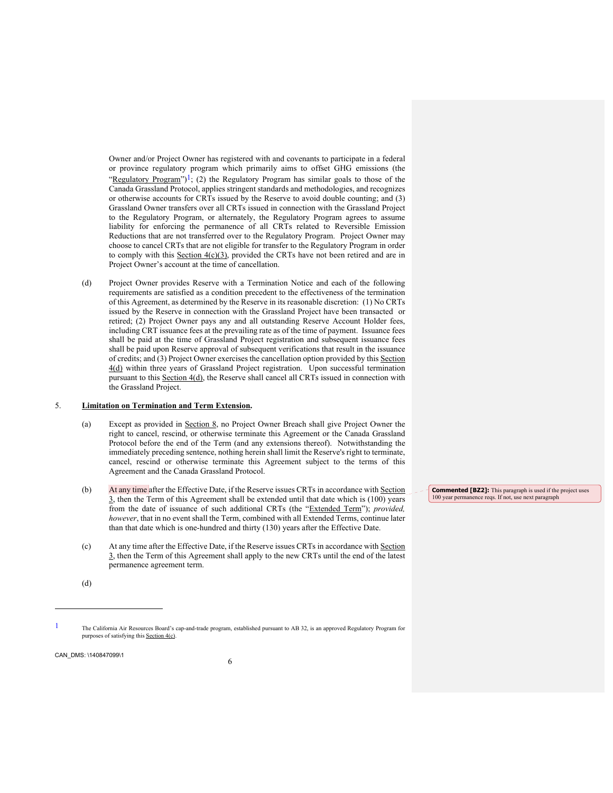Owner and/or Project Owner has registered with and covenants to participate in a federal or province regulatory program which primarily aims to offset GHG emissions (the "Regulatory Program")<sup>1</sup>; (2) the Regulatory Program has similar goals to those of the Canada Grassland Protocol, applies stringent standards and methodologies, and recognizes or otherwise accounts for CRTs issued by the Reserve to avoid double counting; and (3) Grassland Owner transfers over all CRTs issued in connection with the Grassland Project to the Regulatory Program, or alternately, the Regulatory Program agrees to assume liability for enforcing the permanence of all CRTs related to Reversible Emission Reductions that are not transferred over to the Regulatory Program. Project Owner may choose to cancel CRTs that are not eligible for transfer to the Regulatory Program in order to comply with this Section  $4(c)(3)$ , provided the CRTs have not been retired and are in Project Owner's account at the time of cancellation.

(d) Project Owner provides Reserve with a Termination Notice and each of the following requirements are satisfied as a condition precedent to the effectiveness of the termination of this Agreement, as determined by the Reserve in its reasonable discretion: (1) No CRTs issued by the Reserve in connection with the Grassland Project have been transacted or retired; (2) Project Owner pays any and all outstanding Reserve Account Holder fees, including CRT issuance fees at the prevailing rate as of the time of payment. Issuance fees shall be paid at the time of Grassland Project registration and subsequent issuance fees shall be paid upon Reserve approval of subsequent verifications that result in the issuance of credits; and (3) Project Owner exercises the cancellation option provided by this Section 4(d) within three years of Grassland Project registration. Upon successful termination pursuant to this Section 4(d), the Reserve shall cancel all CRTs issued in connection with the Grassland Project.

#### 5. **Limitation on Termination and Term Extension.**

- (a) Except as provided in Section 8, no Project Owner Breach shall give Project Owner the right to cancel, rescind, or otherwise terminate this Agreement or the Canada Grassland Protocol before the end of the Term (and any extensions thereof). Notwithstanding the immediately preceding sentence, nothing herein shall limit the Reserve's right to terminate, cancel, rescind or otherwise terminate this Agreement subject to the terms of this Agreement and the Canada Grassland Protocol.
- (b) At any time after the Effective Date, if the Reserve issues CRTs in accordance with Section 3, then the Term of this Agreement shall be extended until that date which is (100) years from the date of issuance of such additional CRTs (the "Extended Term"); *provided, however*, that in no event shall the Term, combined with all Extended Terms, continue later than that date which is one-hundred and thirty (130) years after the Effective Date.
- (c) At any time after the Effective Date, if the Reserve issues CRTs in accordance with Section 3, then the Term of this Agreement shall apply to the new CRTs until the end of the latest permanence agreement term.

**Commented [BZ2]:** This paragraph is used if the project uses 100 year permanence reqs. If not, use next paragraph

(d)

<sup>1</sup> The California Air Resources Board's cap-and-trade program, established pursuant to AB 32, is an approved Regulatory Program for purposes of satisfying this Section 4(c).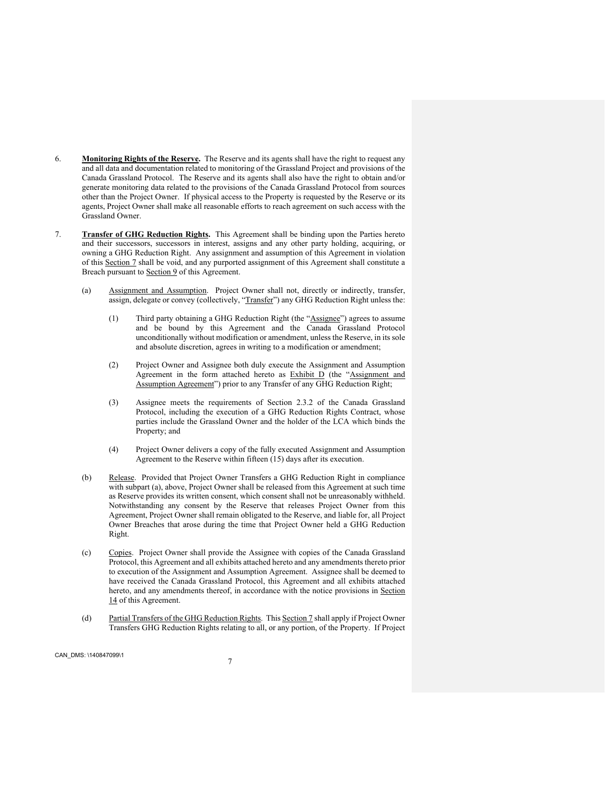- 6. **Monitoring Rights of the Reserve.** The Reserve and its agents shall have the right to request any and all data and documentation related to monitoring of the Grassland Project and provisions of the Canada Grassland Protocol. The Reserve and its agents shall also have the right to obtain and/or generate monitoring data related to the provisions of the Canada Grassland Protocol from sources other than the Project Owner. If physical access to the Property is requested by the Reserve or its agents, Project Owner shall make all reasonable efforts to reach agreement on such access with the Grassland Owner.
- 7. **Transfer of GHG Reduction Rights.** This Agreement shall be binding upon the Parties hereto and their successors, successors in interest, assigns and any other party holding, acquiring, or owning a GHG Reduction Right. Any assignment and assumption of this Agreement in violation of this Section 7 shall be void, and any purported assignment of this Agreement shall constitute a Breach pursuant to Section 9 of this Agreement.
	- (a) Assignment and Assumption. Project Owner shall not, directly or indirectly, transfer, assign, delegate or convey (collectively, "Transfer") any GHG Reduction Right unless the:
		- (1) Third party obtaining a GHG Reduction Right (the "Assignee") agrees to assume and be bound by this Agreement and the Canada Grassland Protocol unconditionally without modification or amendment, unless the Reserve, in its sole and absolute discretion, agrees in writing to a modification or amendment;
		- (2) Project Owner and Assignee both duly execute the Assignment and Assumption Agreement in the form attached hereto as Exhibit D (the "Assignment and Assumption Agreement") prior to any Transfer of any GHG Reduction Right;
		- (3) Assignee meets the requirements of Section 2.3.2 of the Canada Grassland Protocol, including the execution of a GHG Reduction Rights Contract, whose parties include the Grassland Owner and the holder of the LCA which binds the Property; and
		- (4) Project Owner delivers a copy of the fully executed Assignment and Assumption Agreement to the Reserve within fifteen (15) days after its execution.
	- (b) Release. Provided that Project Owner Transfers a GHG Reduction Right in compliance with subpart (a), above, Project Owner shall be released from this Agreement at such time as Reserve provides its written consent, which consent shall not be unreasonably withheld. Notwithstanding any consent by the Reserve that releases Project Owner from this Agreement, Project Owner shall remain obligated to the Reserve, and liable for, all Project Owner Breaches that arose during the time that Project Owner held a GHG Reduction Right.
	- (c) Copies. Project Owner shall provide the Assignee with copies of the Canada Grassland Protocol, this Agreement and all exhibits attached hereto and any amendments thereto prior to execution of the Assignment and Assumption Agreement. Assignee shall be deemed to have received the Canada Grassland Protocol, this Agreement and all exhibits attached hereto, and any amendments thereof, in accordance with the notice provisions in Section 14 of this Agreement.
	- (d) Partial Transfers of the GHG Reduction Rights. This Section 7 shall apply if Project Owner Transfers GHG Reduction Rights relating to all, or any portion, of the Property. If Project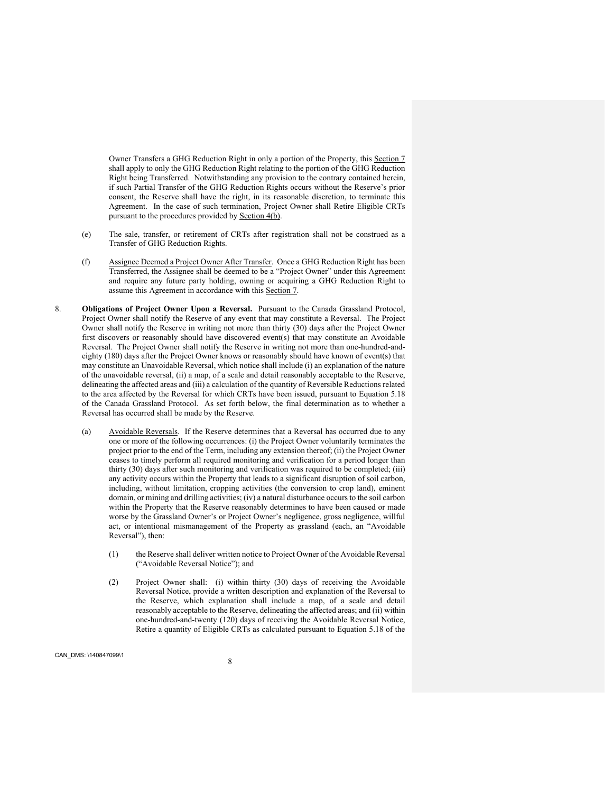Owner Transfers a GHG Reduction Right in only a portion of the Property, this Section 7 shall apply to only the GHG Reduction Right relating to the portion of the GHG Reduction Right being Transferred. Notwithstanding any provision to the contrary contained herein, if such Partial Transfer of the GHG Reduction Rights occurs without the Reserve's prior consent, the Reserve shall have the right, in its reasonable discretion, to terminate this Agreement. In the case of such termination, Project Owner shall Retire Eligible CRTs pursuant to the procedures provided by Section 4(b).

- (e) The sale, transfer, or retirement of CRTs after registration shall not be construed as a Transfer of GHG Reduction Rights.
- (f) Assignee Deemed a Project Owner After Transfer. Once a GHG Reduction Right has been Transferred, the Assignee shall be deemed to be a "Project Owner" under this Agreement and require any future party holding, owning or acquiring a GHG Reduction Right to assume this Agreement in accordance with this Section 7.
- 8. **Obligations of Project Owner Upon a Reversal.** Pursuant to the Canada Grassland Protocol, Project Owner shall notify the Reserve of any event that may constitute a Reversal. The Project Owner shall notify the Reserve in writing not more than thirty (30) days after the Project Owner first discovers or reasonably should have discovered event(s) that may constitute an Avoidable Reversal. The Project Owner shall notify the Reserve in writing not more than one-hundred-andeighty (180) days after the Project Owner knows or reasonably should have known of event(s) that may constitute an Unavoidable Reversal, which notice shall include (i) an explanation of the nature of the unavoidable reversal, (ii) a map, of a scale and detail reasonably acceptable to the Reserve, delineating the affected areas and (iii) a calculation of the quantity of Reversible Reductions related to the area affected by the Reversal for which CRTs have been issued, pursuant to Equation 5.18 of the Canada Grassland Protocol. As set forth below, the final determination as to whether a Reversal has occurred shall be made by the Reserve.
	- (a) Avoidable Reversals. If the Reserve determines that a Reversal has occurred due to any one or more of the following occurrences: (i) the Project Owner voluntarily terminates the project prior to the end of the Term, including any extension thereof; (ii) the Project Owner ceases to timely perform all required monitoring and verification for a period longer than thirty (30) days after such monitoring and verification was required to be completed; (iii) any activity occurs within the Property that leads to a significant disruption of soil carbon, including, without limitation, cropping activities (the conversion to crop land), eminent domain, or mining and drilling activities; (iv) a natural disturbance occurs to the soil carbon within the Property that the Reserve reasonably determines to have been caused or made worse by the Grassland Owner's or Project Owner's negligence, gross negligence, willful act, or intentional mismanagement of the Property as grassland (each, an "Avoidable Reversal"), then:
		- (1) the Reserve shall deliver written notice to Project Owner of the Avoidable Reversal ("Avoidable Reversal Notice"); and
		- (2) Project Owner shall: (i) within thirty (30) days of receiving the Avoidable Reversal Notice, provide a written description and explanation of the Reversal to the Reserve, which explanation shall include a map, of a scale and detail reasonably acceptable to the Reserve, delineating the affected areas; and (ii) within one-hundred-and-twenty (120) days of receiving the Avoidable Reversal Notice, Retire a quantity of Eligible CRTs as calculated pursuant to Equation 5.18 of the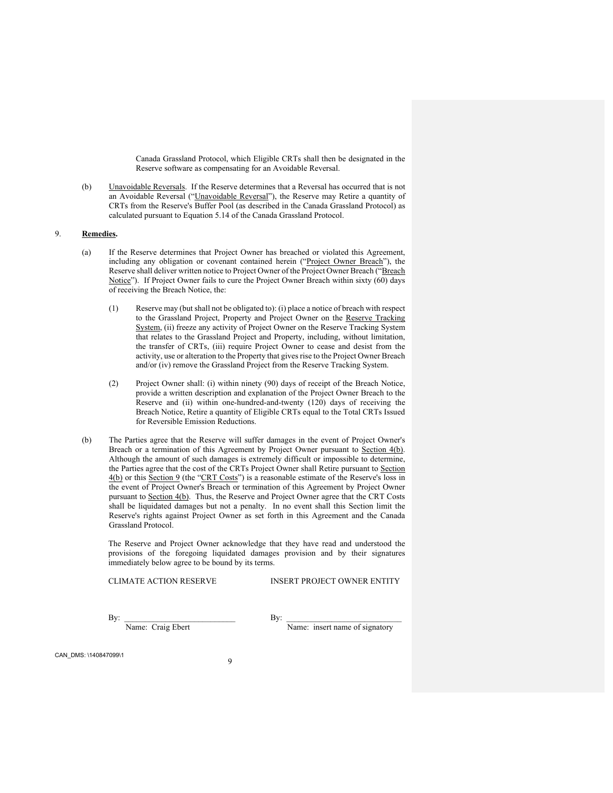Canada Grassland Protocol, which Eligible CRTs shall then be designated in the Reserve software as compensating for an Avoidable Reversal.

(b) Unavoidable Reversals. If the Reserve determines that a Reversal has occurred that is not an Avoidable Reversal ("Unavoidable Reversal"), the Reserve may Retire a quantity of CRTs from the Reserve's Buffer Pool (as described in the Canada Grassland Protocol) as calculated pursuant to Equation 5.14 of the Canada Grassland Protocol.

## 9. **Remedies.**

- (a) If the Reserve determines that Project Owner has breached or violated this Agreement, including any obligation or covenant contained herein ("Project Owner Breach"), the Reserve shall deliver written notice to Project Owner of the Project Owner Breach ("Breach Notice"). If Project Owner fails to cure the Project Owner Breach within sixty  $(60)$  days of receiving the Breach Notice, the:
	- (1) Reserve may (but shall not be obligated to): (i) place a notice of breach with respect to the Grassland Project, Property and Project Owner on the Reserve Tracking System, (ii) freeze any activity of Project Owner on the Reserve Tracking System that relates to the Grassland Project and Property, including, without limitation, the transfer of CRTs, (iii) require Project Owner to cease and desist from the activity, use or alteration to the Property that gives rise to the Project Owner Breach and/or (iv) remove the Grassland Project from the Reserve Tracking System.
	- (2) Project Owner shall: (i) within ninety (90) days of receipt of the Breach Notice, provide a written description and explanation of the Project Owner Breach to the Reserve and (ii) within one-hundred-and-twenty (120) days of receiving the Breach Notice, Retire a quantity of Eligible CRTs equal to the Total CRTs Issued for Reversible Emission Reductions.
- (b) The Parties agree that the Reserve will suffer damages in the event of Project Owner's Breach or a termination of this Agreement by Project Owner pursuant to Section 4(b). Although the amount of such damages is extremely difficult or impossible to determine, the Parties agree that the cost of the CRTs Project Owner shall Retire pursuant to Section 4(b) or this Section 9 (the "CRT Costs") is a reasonable estimate of the Reserve's loss in the event of Project Owner's Breach or termination of this Agreement by Project Owner pursuant to Section 4(b). Thus, the Reserve and Project Owner agree that the CRT Costs shall be liquidated damages but not a penalty. In no event shall this Section limit the Reserve's rights against Project Owner as set forth in this Agreement and the Canada Grassland Protocol.

The Reserve and Project Owner acknowledge that they have read and understood the provisions of the foregoing liquidated damages provision and by their signatures immediately below agree to be bound by its terms.

CLIMATE ACTION RESERVE INSERT PROJECT OWNER ENTITY

 $\mathbf{By:}$ 

Name: Craig Ebert Name: insert name of signatory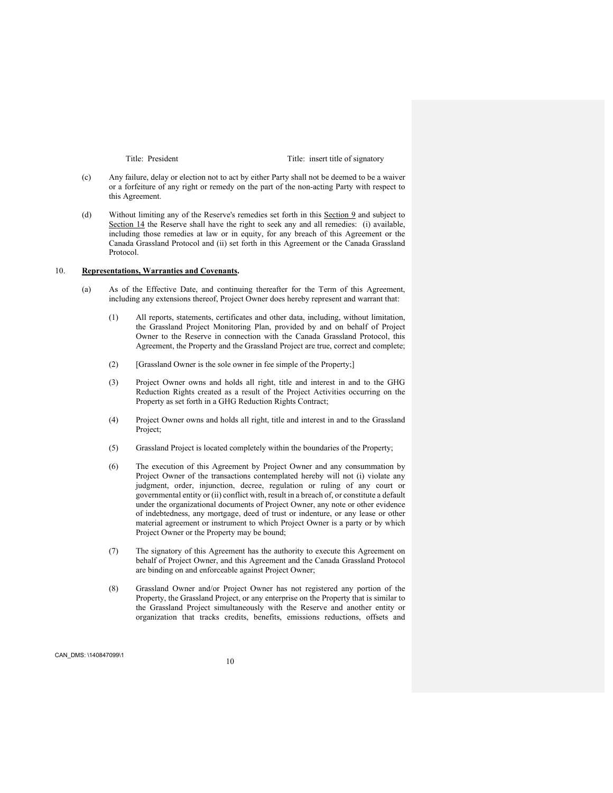Title: President Title: insert title of signatory

- (c) Any failure, delay or election not to act by either Party shall not be deemed to be a waiver or a forfeiture of any right or remedy on the part of the non-acting Party with respect to this Agreement.
- (d) Without limiting any of the Reserve's remedies set forth in this Section 9 and subject to Section 14 the Reserve shall have the right to seek any and all remedies: (i) available, including those remedies at law or in equity, for any breach of this Agreement or the Canada Grassland Protocol and (ii) set forth in this Agreement or the Canada Grassland Protocol.

### 10. **Representations, Warranties and Covenants.**

- (a) As of the Effective Date, and continuing thereafter for the Term of this Agreement, including any extensions thereof, Project Owner does hereby represent and warrant that:
	- (1) All reports, statements, certificates and other data, including, without limitation, the Grassland Project Monitoring Plan, provided by and on behalf of Project Owner to the Reserve in connection with the Canada Grassland Protocol, this Agreement, the Property and the Grassland Project are true, correct and complete;
	- (2) [Grassland Owner is the sole owner in fee simple of the Property;]
	- (3) Project Owner owns and holds all right, title and interest in and to the GHG Reduction Rights created as a result of the Project Activities occurring on the Property as set forth in a GHG Reduction Rights Contract;
	- (4) Project Owner owns and holds all right, title and interest in and to the Grassland Project;
	- (5) Grassland Project is located completely within the boundaries of the Property;
	- (6) The execution of this Agreement by Project Owner and any consummation by Project Owner of the transactions contemplated hereby will not (i) violate any judgment, order, injunction, decree, regulation or ruling of any court or governmental entity or (ii) conflict with, result in a breach of, or constitute a default under the organizational documents of Project Owner, any note or other evidence of indebtedness, any mortgage, deed of trust or indenture, or any lease or other material agreement or instrument to which Project Owner is a party or by which Project Owner or the Property may be bound;
	- (7) The signatory of this Agreement has the authority to execute this Agreement on behalf of Project Owner, and this Agreement and the Canada Grassland Protocol are binding on and enforceable against Project Owner;
	- (8) Grassland Owner and/or Project Owner has not registered any portion of the Property, the Grassland Project, or any enterprise on the Property that is similar to the Grassland Project simultaneously with the Reserve and another entity or organization that tracks credits, benefits, emissions reductions, offsets and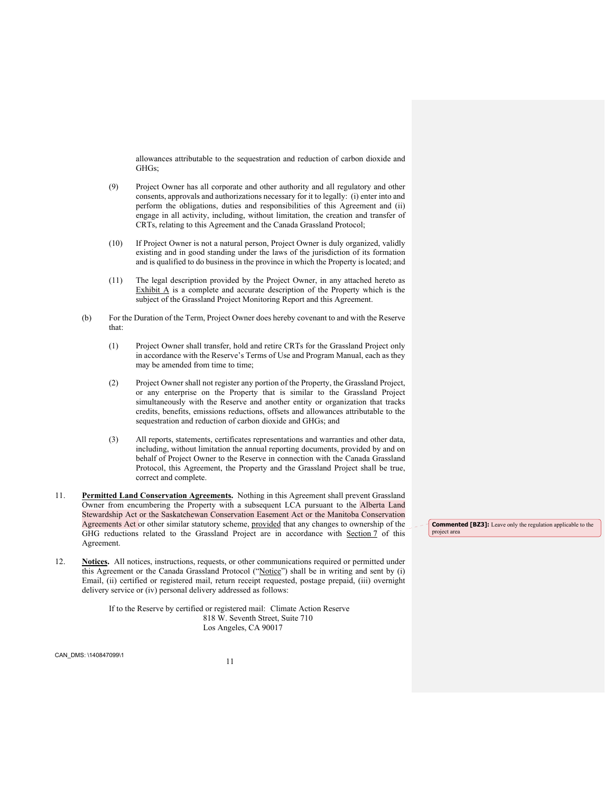allowances attributable to the sequestration and reduction of carbon dioxide and GHGs;

- (9) Project Owner has all corporate and other authority and all regulatory and other consents, approvals and authorizations necessary for it to legally: (i) enter into and perform the obligations, duties and responsibilities of this Agreement and (ii) engage in all activity, including, without limitation, the creation and transfer of CRTs, relating to this Agreement and the Canada Grassland Protocol;
- (10) If Project Owner is not a natural person, Project Owner is duly organized, validly existing and in good standing under the laws of the jurisdiction of its formation and is qualified to do business in the province in which the Property is located; and
- (11) The legal description provided by the Project Owner, in any attached hereto as Exhibit A is a complete and accurate description of the Property which is the subject of the Grassland Project Monitoring Report and this Agreement.
- (b) For the Duration of the Term, Project Owner does hereby covenant to and with the Reserve that:
	- (1) Project Owner shall transfer, hold and retire CRTs for the Grassland Project only in accordance with the Reserve's Terms of Use and Program Manual, each as they may be amended from time to time;
	- (2) Project Owner shall not register any portion of the Property, the Grassland Project, or any enterprise on the Property that is similar to the Grassland Project simultaneously with the Reserve and another entity or organization that tracks credits, benefits, emissions reductions, offsets and allowances attributable to the sequestration and reduction of carbon dioxide and GHGs; and
	- (3) All reports, statements, certificates representations and warranties and other data, including, without limitation the annual reporting documents, provided by and on behalf of Project Owner to the Reserve in connection with the Canada Grassland Protocol, this Agreement, the Property and the Grassland Project shall be true, correct and complete.
- 11. **Permitted Land Conservation Agreements.** Nothing in this Agreement shall prevent Grassland Owner from encumbering the Property with a subsequent LCA pursuant to the Alberta Land Stewardship Act or the Saskatchewan Conservation Easement Act or the Manitoba Conservation Agreements Act or other similar statutory scheme, provided that any changes to ownership of the GHG reductions related to the Grassland Project are in accordance with Section 7 of this Agreement.
- 12. **Notices.** All notices, instructions, requests, or other communications required or permitted under this Agreement or the Canada Grassland Protocol ("Notice") shall be in writing and sent by (i) Email, (ii) certified or registered mail, return receipt requested, postage prepaid, (iii) overnight delivery service or (iv) personal delivery addressed as follows:

If to the Reserve by certified or registered mail: Climate Action Reserve 818 W. Seventh Street, Suite 710 Los Angeles, CA 90017

<sup>11</sup>CAN\_DMS: \140847099\1

**Commented [BZ3]:** Leave only the regulation applicable to the project area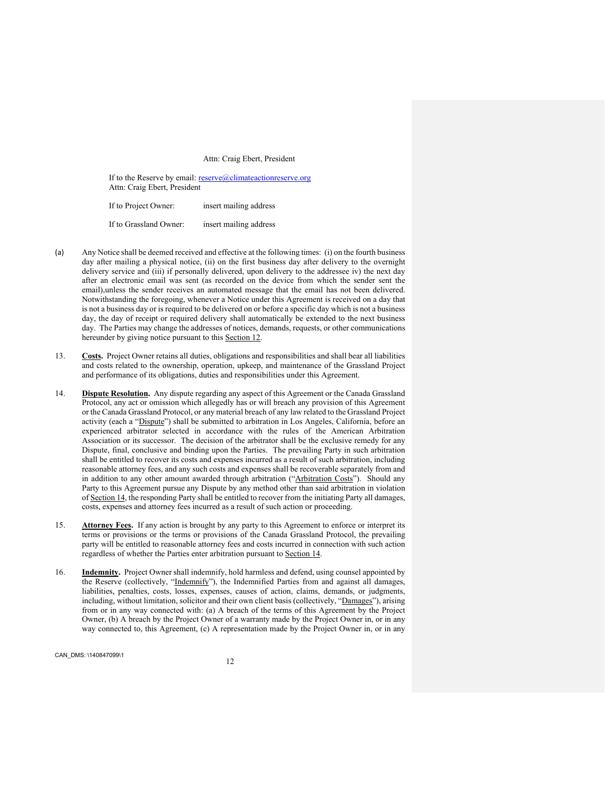#### Attn: Craig Ebert, President

If to the Reserve by email: reserve@climateactionreserve.org Attn: Craig Ebert, President

If to Project Owner: insert mailing address If to Grassland Owner: insert mailing address

- (a) Any Notice shall be deemed received and effective at the following times: (i) on the fourth business day after mailing a physical notice, (ii) on the first business day after delivery to the overnight delivery service and (iii) if personally delivered, upon delivery to the addressee iv) the next day after an electronic email was sent (as recorded on the device from which the sender sent the email),unless the sender receives an automated message that the email has not been delivered. Notwithstanding the foregoing, whenever a Notice under this Agreement is received on a day that is not a business day or is required to be delivered on or before a specific day which is not a business day, the day of receipt or required delivery shall automatically be extended to the next business day. The Parties may change the addresses of notices, demands, requests, or other communications hereunder by giving notice pursuant to this **Section 12**.
- 13. **Costs.** Project Owner retains all duties, obligations and responsibilities and shall bear all liabilities and costs related to the ownership, operation, upkeep, and maintenance of the Grassland Project and performance of its obligations, duties and responsibilities under this Agreement.
- 14. **Dispute Resolution.** Any dispute regarding any aspect of this Agreement or the Canada Grassland Protocol, any act or omission which allegedly has or will breach any provision of this Agreement or the Canada Grassland Protocol, or any material breach of any law related to the Grassland Project activity (each a "Dispute") shall be submitted to arbitration in Los Angeles, California, before an experienced arbitrator selected in accordance with the rules of the American Arbitration Association or its successor. The decision of the arbitrator shall be the exclusive remedy for any Dispute, final, conclusive and binding upon the Parties. The prevailing Party in such arbitration shall be entitled to recover its costs and expenses incurred as a result of such arbitration, including reasonable attorney fees, and any such costs and expenses shall be recoverable separately from and in addition to any other amount awarded through arbitration ("Arbitration Costs"). Should any Party to this Agreement pursue any Dispute by any method other than said arbitration in violation of Section 14, the responding Party shall be entitled to recover from the initiating Party all damages, costs, expenses and attorney fees incurred as a result of such action or proceeding.
- 15. **Attorney Fees.** If any action is brought by any party to this Agreement to enforce or interpret its terms or provisions or the terms or provisions of the Canada Grassland Protocol, the prevailing party will be entitled to reasonable attorney fees and costs incurred in connection with such action regardless of whether the Parties enter arbitration pursuant to Section 14.
- 16. **Indemnity.** Project Owner shall indemnify, hold harmless and defend, using counsel appointed by the Reserve (collectively, "Indemnify"), the Indemnified Parties from and against all damages, liabilities, penalties, costs, losses, expenses, causes of action, claims, demands, or judgments, including, without limitation, solicitor and their own client basis (collectively, "Damages"), arising from or in any way connected with: (a) A breach of the terms of this Agreement by the Project Owner, (b) A breach by the Project Owner of a warranty made by the Project Owner in, or in any way connected to, this Agreement, (c) A representation made by the Project Owner in, or in any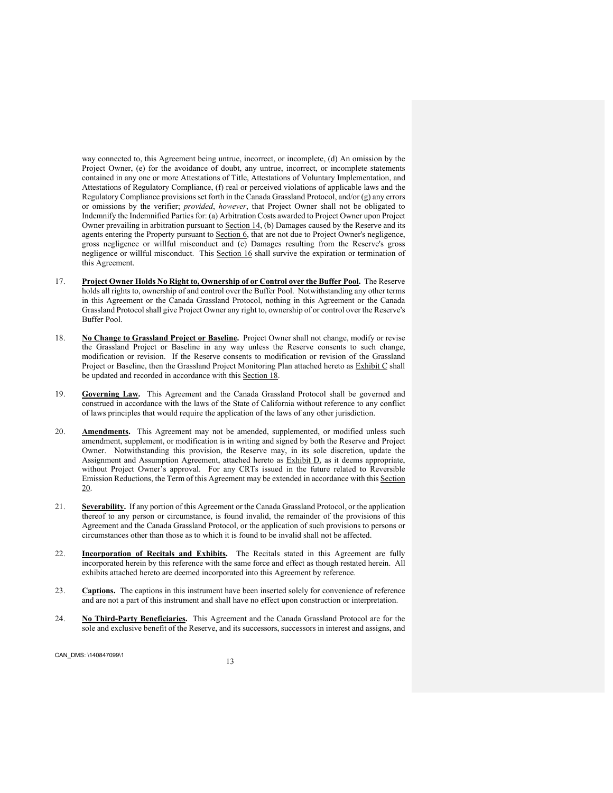way connected to, this Agreement being untrue, incorrect, or incomplete, (d) An omission by the Project Owner, (e) for the avoidance of doubt, any untrue, incorrect, or incomplete statements contained in any one or more Attestations of Title, Attestations of Voluntary Implementation, and Attestations of Regulatory Compliance, (f) real or perceived violations of applicable laws and the Regulatory Compliance provisions set forth in the Canada Grassland Protocol, and/or (g) any errors or omissions by the verifier; *provided*, *however*, that Project Owner shall not be obligated to Indemnify the Indemnified Parties for: (a) Arbitration Costs awarded to Project Owner upon Project Owner prevailing in arbitration pursuant to Section 14, (b) Damages caused by the Reserve and its agents entering the Property pursuant to Section 6, that are not due to Project Owner's negligence, gross negligence or willful misconduct and (c) Damages resulting from the Reserve's gross negligence or willful misconduct. This Section 16 shall survive the expiration or termination of this Agreement.

- 17. **Project Owner Holds No Right to, Ownership of or Control over the Buffer Pool.** The Reserve holds all rights to, ownership of and control over the Buffer Pool. Notwithstanding any other terms in this Agreement or the Canada Grassland Protocol, nothing in this Agreement or the Canada Grassland Protocol shall give Project Owner any right to, ownership of or control over the Reserve's Buffer Pool.
- 18. **No Change to Grassland Project or Baseline.** Project Owner shall not change, modify or revise the Grassland Project or Baseline in any way unless the Reserve consents to such change, modification or revision. If the Reserve consents to modification or revision of the Grassland Project or Baseline, then the Grassland Project Monitoring Plan attached hereto as **Exhibit C** shall be updated and recorded in accordance with this Section 18.
- 19. **Governing Law.** This Agreement and the Canada Grassland Protocol shall be governed and construed in accordance with the laws of the State of California without reference to any conflict of laws principles that would require the application of the laws of any other jurisdiction.
- 20. **Amendments.** This Agreement may not be amended, supplemented, or modified unless such amendment, supplement, or modification is in writing and signed by both the Reserve and Project Owner. Notwithstanding this provision, the Reserve may, in its sole discretion, update the Assignment and Assumption Agreement, attached hereto as Exhibit D, as it deems appropriate, without Project Owner's approval. For any CRTs issued in the future related to Reversible Emission Reductions, the Term of this Agreement may be extended in accordance with this Section 20.
- 21. **Severability.** If any portion of this Agreement or the Canada Grassland Protocol, or the application thereof to any person or circumstance, is found invalid, the remainder of the provisions of this Agreement and the Canada Grassland Protocol, or the application of such provisions to persons or circumstances other than those as to which it is found to be invalid shall not be affected.
- 22. **Incorporation of Recitals and Exhibits.** The Recitals stated in this Agreement are fully incorporated herein by this reference with the same force and effect as though restated herein. All exhibits attached hereto are deemed incorporated into this Agreement by reference.
- 23. **Captions.** The captions in this instrument have been inserted solely for convenience of reference and are not a part of this instrument and shall have no effect upon construction or interpretation.
- 24. **No Third-Party Beneficiaries.** This Agreement and the Canada Grassland Protocol are for the sole and exclusive benefit of the Reserve, and its successors, successors in interest and assigns, and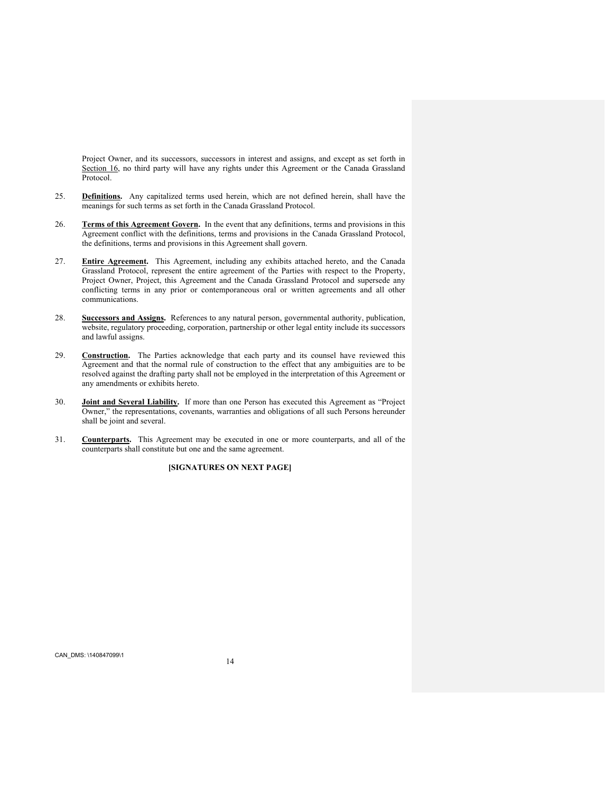Project Owner, and its successors, successors in interest and assigns, and except as set forth in Section 16, no third party will have any rights under this Agreement or the Canada Grassland Protocol.

- 25. **Definitions.** Any capitalized terms used herein, which are not defined herein, shall have the meanings for such terms as set forth in the Canada Grassland Protocol.
- 26. **Terms of this Agreement Govern.** In the event that any definitions, terms and provisions in this Agreement conflict with the definitions, terms and provisions in the Canada Grassland Protocol, the definitions, terms and provisions in this Agreement shall govern.
- 27. **Entire Agreement.** This Agreement, including any exhibits attached hereto, and the Canada Grassland Protocol, represent the entire agreement of the Parties with respect to the Property, Project Owner, Project, this Agreement and the Canada Grassland Protocol and supersede any conflicting terms in any prior or contemporaneous oral or written agreements and all other communications.
- 28. **Successors and Assigns.** References to any natural person, governmental authority, publication, website, regulatory proceeding, corporation, partnership or other legal entity include its successors and lawful assigns.
- 29. **Construction.** The Parties acknowledge that each party and its counsel have reviewed this Agreement and that the normal rule of construction to the effect that any ambiguities are to be resolved against the drafting party shall not be employed in the interpretation of this Agreement or any amendments or exhibits hereto.
- 30. **Joint and Several Liability.** If more than one Person has executed this Agreement as "Project Owner," the representations, covenants, warranties and obligations of all such Persons hereunder shall be joint and several.
- 31. **Counterparts.** This Agreement may be executed in one or more counterparts, and all of the counterparts shall constitute but one and the same agreement.

**[SIGNATURES ON NEXT PAGE]**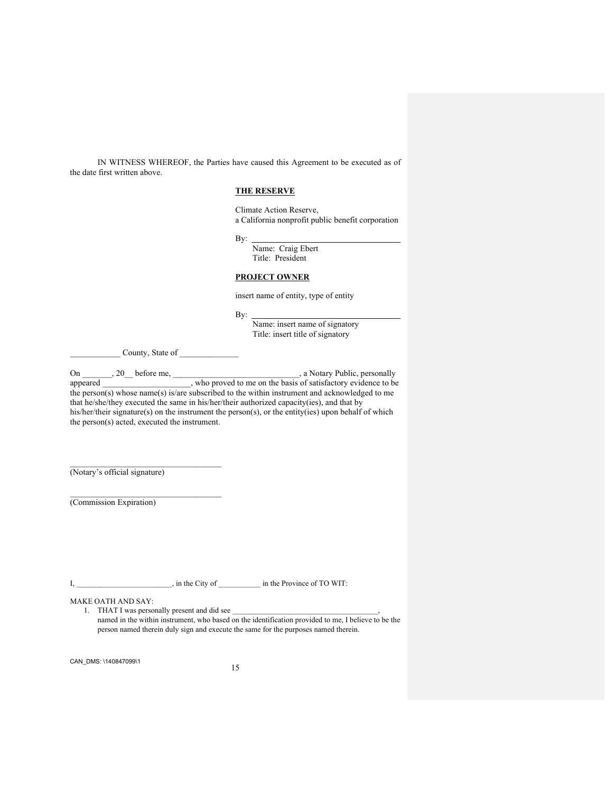IN WITNESS WHEREOF, the Parties have caused this Agreement to be executed as of the date first written above.

#### **THE RESERVE**

Climate Action Reserve, a California nonprofit public benefit corporation

By:

Name: Craig Ebert Title: President

#### **PROJECT OWNER**

insert name of entity, type of entity

By:

Name: insert name of signatory Title: insert title of signatory

\_\_\_\_\_\_\_\_\_\_\_\_ County, State of \_\_\_\_\_\_\_\_\_\_\_\_\_\_

On 320 before me, 320 before me, 320 before me, 320 before me, 320 appeared 320 before me, 320 before me, 320 m b proved to me on the basis of satisfactory evidence to be behavior.  $\Box$ , who proved to me on the basis of satisfactory evidence to be the person(s) whose name(s) is/are subscribed to the within instrument and acknowledged to me that he/she/they executed the same in his/her/their authorized capacity(ies), and that by his/her/their signature(s) on the instrument the person(s), or the entity(ies) upon behalf of which the person(s) acted, executed the instrument.

(Notary's official signature)

(Commission Expiration)

I, \_\_\_\_\_\_\_\_\_\_\_\_\_\_\_\_\_\_\_\_\_\_, in the City of \_\_\_\_\_\_\_\_\_\_\_\_ in the Province of TO WIT:

MAKE OATH AND SAY:

1. THAT I was personally present and did see named in the within instrument, who based on the identification provided to me, I believe to be the person named therein duly sign and execute the same for the purposes named therein.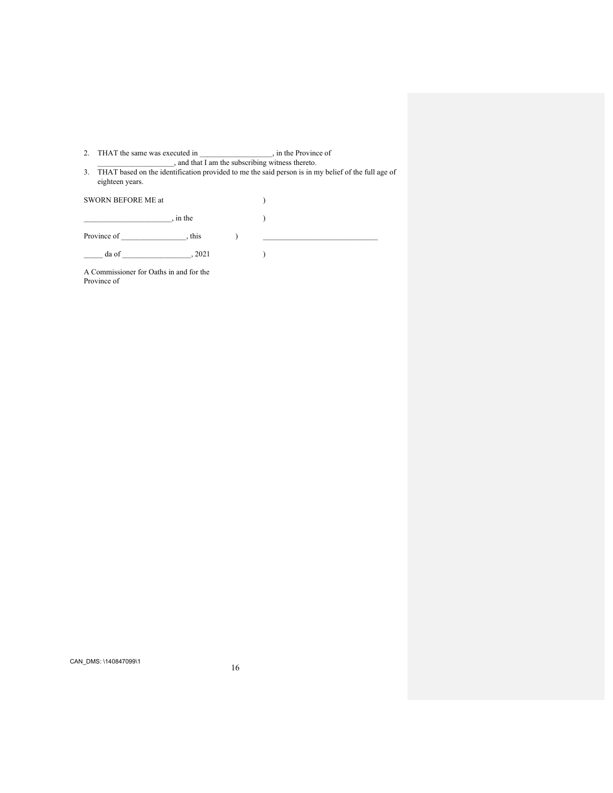2. THAT the same was executed in \_\_\_\_\_\_\_\_\_\_\_\_\_\_\_\_\_\_, in the Province of \_\_\_\_\_\_\_\_\_\_\_\_\_\_\_\_\_\_\_\_, and that I am the subscribing witness thereto.

3. THAT based on the identification provided to me the said person is in my belief of the full age of eighteen years.

| SWORN BEFORE ME at |          |  |  |
|--------------------|----------|--|--|
|                    | , in the |  |  |
| Province of        | , this   |  |  |
| da of              | , 2021   |  |  |
|                    |          |  |  |

A Commissioner for Oaths in and for the Province of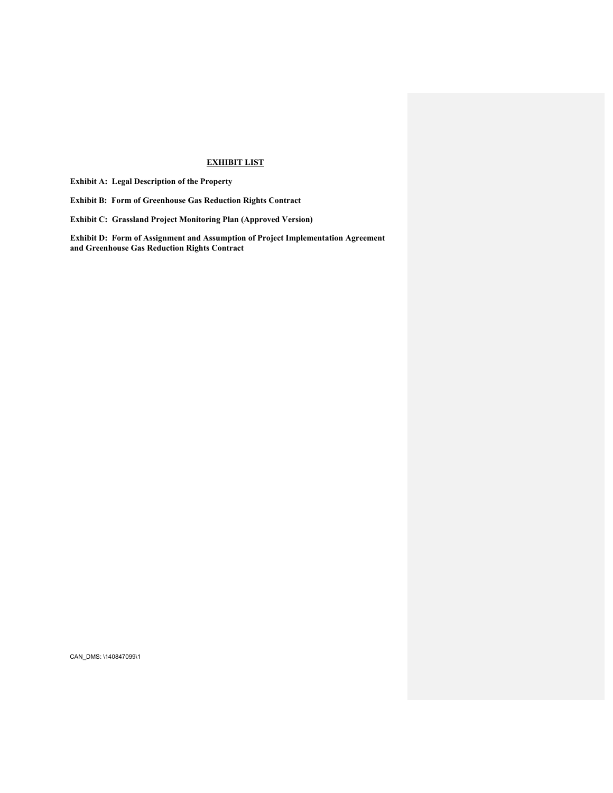## **EXHIBIT LIST**

**Exhibit A: Legal Description of the Property** 

**Exhibit B: Form of Greenhouse Gas Reduction Rights Contract** 

**Exhibit C: Grassland Project Monitoring Plan (Approved Version)** 

**Exhibit D: Form of Assignment and Assumption of Project Implementation Agreement and Greenhouse Gas Reduction Rights Contract**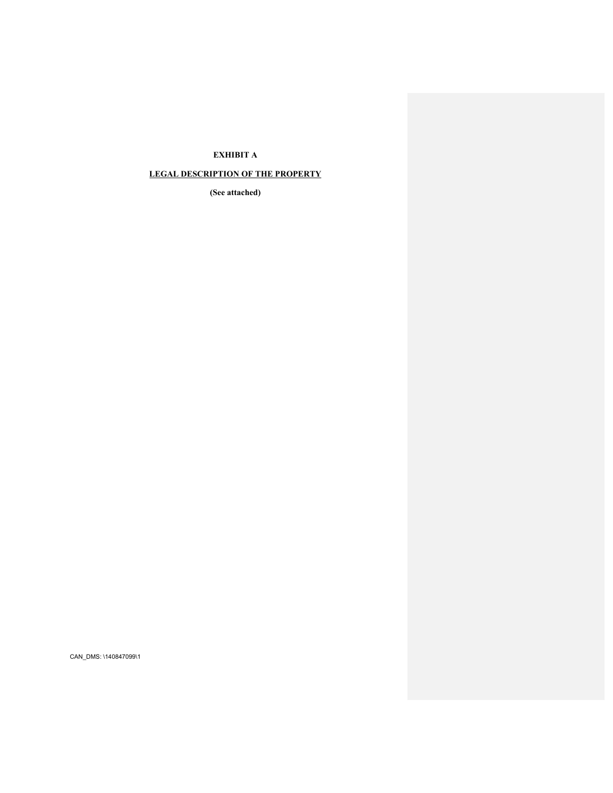# **EXHIBIT A**

## **LEGAL DESCRIPTION OF THE PROPERTY**

**(See attached)**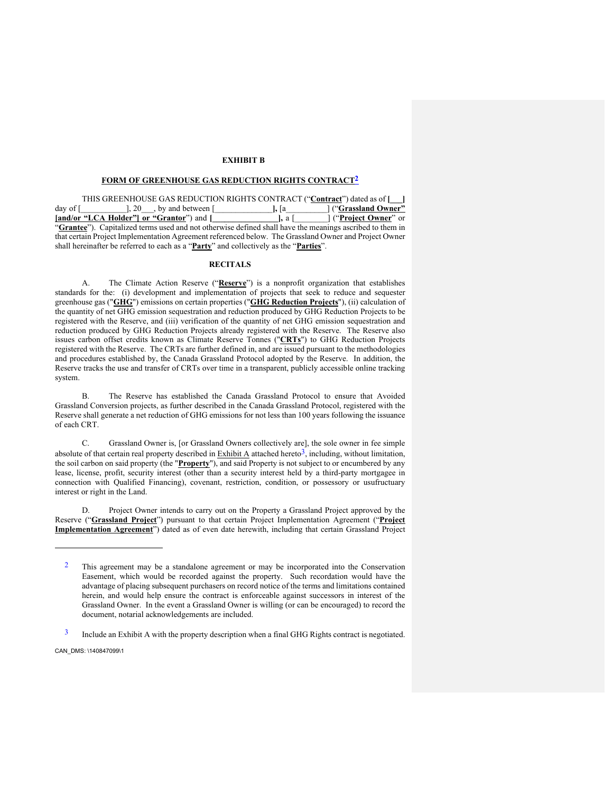### **EXHIBIT B**

### **FORM OF GREENHOUSE GAS REDUCTION RIGHTS CONTRACT2**

THIS GREENHOUSE GAS REDUCTION RIGHTS CONTRACT ("**Contract**") dated as of **[\_\_\_]** day of [\_\_\_\_\_\_\_\_\_\_\_], 20\_\_\_, by and between [\_\_\_\_\_\_\_\_\_\_\_\_\_\_**],** [a\_\_\_\_\_\_\_\_\_\_] ("**Grassland Owner" [and/or "LCA Holder"] or "Grantor**") and **[\_\_\_\_\_\_\_\_\_\_\_\_\_\_\_\_],** a [\_\_\_\_\_\_\_\_] ("**Project Owner**" or "**Grantee**"). Capitalized terms used and not otherwise defined shall have the meanings ascribed to them in that certain Project Implementation Agreement referenced below. The Grassland Owner and Project Owner shall hereinafter be referred to each as a "**Party**" and collectively as the "**Parties**".

## **RECITALS**

A. The Climate Action Reserve ("**Reserve**") is a nonprofit organization that establishes standards for the: (i) development and implementation of projects that seek to reduce and sequester greenhouse gas ("**GHG**") emissions on certain properties ("**GHG Reduction Projects**"), (ii) calculation of the quantity of net GHG emission sequestration and reduction produced by GHG Reduction Projects to be registered with the Reserve, and (iii) verification of the quantity of net GHG emission sequestration and reduction produced by GHG Reduction Projects already registered with the Reserve. The Reserve also issues carbon offset credits known as Climate Reserve Tonnes ("**CRTs**") to GHG Reduction Projects registered with the Reserve. The CRTs are further defined in, and are issued pursuant to the methodologies and procedures established by, the Canada Grassland Protocol adopted by the Reserve. In addition, the Reserve tracks the use and transfer of CRTs over time in a transparent, publicly accessible online tracking system.

B. The Reserve has established the Canada Grassland Protocol to ensure that Avoided Grassland Conversion projects, as further described in the Canada Grassland Protocol, registered with the Reserve shall generate a net reduction of GHG emissions for not less than 100 years following the issuance of each CRT.

C. Grassland Owner is, [or Grassland Owners collectively are], the sole owner in fee simple absolute of that certain real property described in  $\frac{Exhibit A}{dx}$  attached hereto<sup>3</sup>, including, without limitation, the soil carbon on said property (the "**Property**"), and said Property is not subject to or encumbered by any lease, license, profit, security interest (other than a security interest held by a third-party mortgagee in connection with Qualified Financing), covenant, restriction, condition, or possessory or usufructuary interest or right in the Land.

D. Project Owner intends to carry out on the Property a Grassland Project approved by the Reserve ("**Grassland Project**") pursuant to that certain Project Implementation Agreement ("**Project Implementation Agreement**") dated as of even date herewith, including that certain Grassland Project

<sup>2</sup> This agreement may be a standalone agreement or may be incorporated into the Conservation Easement, which would be recorded against the property. Such recordation would have the advantage of placing subsequent purchasers on record notice of the terms and limitations contained herein, and would help ensure the contract is enforceable against successors in interest of the Grassland Owner. In the event a Grassland Owner is willing (or can be encouraged) to record the document, notarial acknowledgements are included.

<sup>&</sup>lt;sup>3</sup> Include an Exhibit A with the property description when a final GHG Rights contract is negotiated.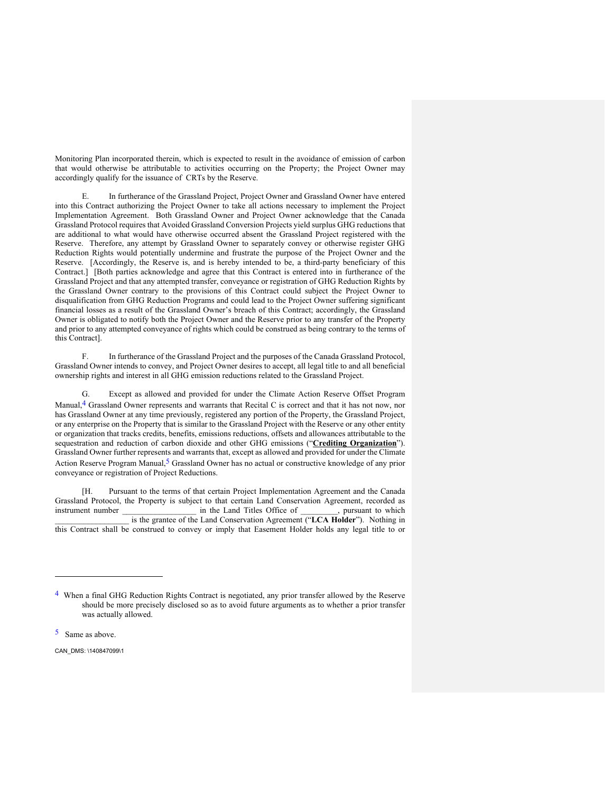Monitoring Plan incorporated therein, which is expected to result in the avoidance of emission of carbon that would otherwise be attributable to activities occurring on the Property; the Project Owner may accordingly qualify for the issuance of CRTs by the Reserve.

E. In furtherance of the Grassland Project, Project Owner and Grassland Owner have entered into this Contract authorizing the Project Owner to take all actions necessary to implement the Project Implementation Agreement. Both Grassland Owner and Project Owner acknowledge that the Canada Grassland Protocol requires that Avoided Grassland Conversion Projects yield surplus GHG reductions that are additional to what would have otherwise occurred absent the Grassland Project registered with the Reserve. Therefore, any attempt by Grassland Owner to separately convey or otherwise register GHG Reduction Rights would potentially undermine and frustrate the purpose of the Project Owner and the Reserve. [Accordingly, the Reserve is, and is hereby intended to be, a third-party beneficiary of this Contract.] [Both parties acknowledge and agree that this Contract is entered into in furtherance of the Grassland Project and that any attempted transfer, conveyance or registration of GHG Reduction Rights by the Grassland Owner contrary to the provisions of this Contract could subject the Project Owner to disqualification from GHG Reduction Programs and could lead to the Project Owner suffering significant financial losses as a result of the Grassland Owner's breach of this Contract; accordingly, the Grassland Owner is obligated to notify both the Project Owner and the Reserve prior to any transfer of the Property and prior to any attempted conveyance of rights which could be construed as being contrary to the terms of this Contract].

In furtherance of the Grassland Project and the purposes of the Canada Grassland Protocol, Grassland Owner intends to convey, and Project Owner desires to accept, all legal title to and all beneficial ownership rights and interest in all GHG emission reductions related to the Grassland Project.

G. Except as allowed and provided for under the Climate Action Reserve Offset Program Manual, <sup>4</sup> Grassland Owner represents and warrants that Recital C is correct and that it has not now, nor has Grassland Owner at any time previously, registered any portion of the Property, the Grassland Project, or any enterprise on the Property that is similar to the Grassland Project with the Reserve or any other entity or organization that tracks credits, benefits, emissions reductions, offsets and allowances attributable to the sequestration and reduction of carbon dioxide and other GHG emissions ("**Crediting Organization**"). Grassland Owner further represents and warrants that, except as allowed and provided for under the Climate Action Reserve Program Manual,5 Grassland Owner has no actual or constructive knowledge of any prior conveyance or registration of Project Reductions.

[H. Pursuant to the terms of that certain Project Implementation Agreement and the Canada Grassland Protocol, the Property is subject to that certain Land Conservation Agreement, recorded as instrument number in the Land Titles Office of pursuant to which instrument number  $\qquad \qquad$  in the Land Titles Office of is the grantee of the Land Conservation Agreement ("LCA Holder"). Nothing in this Contract shall be construed to convey or imply that Easement Holder holds any legal title to or

5 Same as above.

<sup>4</sup> When a final GHG Reduction Rights Contract is negotiated, any prior transfer allowed by the Reserve should be more precisely disclosed so as to avoid future arguments as to whether a prior transfer was actually allowed.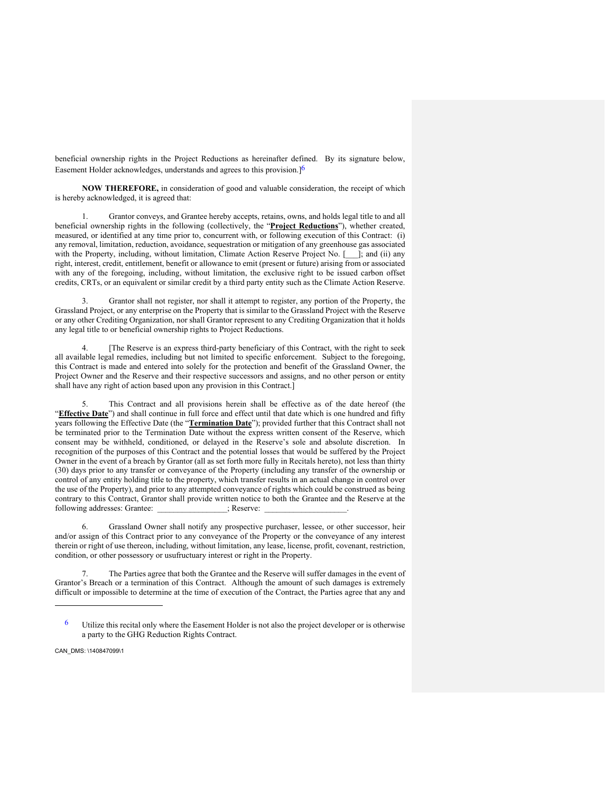beneficial ownership rights in the Project Reductions as hereinafter defined. By its signature below, Easement Holder acknowledges, understands and agrees to this provision.<sup>[6]</sup>

**NOW THEREFORE,** in consideration of good and valuable consideration, the receipt of which is hereby acknowledged, it is agreed that:

1. Grantor conveys, and Grantee hereby accepts, retains, owns, and holds legal title to and all beneficial ownership rights in the following (collectively, the "**Project Reductions**"), whether created, measured, or identified at any time prior to, concurrent with, or following execution of this Contract: (i) any removal, limitation, reduction, avoidance, sequestration or mitigation of any greenhouse gas associated with the Property, including, without limitation, Climate Action Reserve Project No. [\_\_\_]; and (ii) any right, interest, credit, entitlement, benefit or allowance to emit (present or future) arising from or associated with any of the foregoing, including, without limitation, the exclusive right to be issued carbon offset credits, CRTs, or an equivalent or similar credit by a third party entity such as the Climate Action Reserve.

3. Grantor shall not register, nor shall it attempt to register, any portion of the Property, the Grassland Project, or any enterprise on the Property that is similar to the Grassland Project with the Reserve or any other Crediting Organization, nor shall Grantor represent to any Crediting Organization that it holds any legal title to or beneficial ownership rights to Project Reductions.

[The Reserve is an express third-party beneficiary of this Contract, with the right to seek all available legal remedies, including but not limited to specific enforcement. Subject to the foregoing, this Contract is made and entered into solely for the protection and benefit of the Grassland Owner, the Project Owner and the Reserve and their respective successors and assigns, and no other person or entity shall have any right of action based upon any provision in this Contract.]

5. This Contract and all provisions herein shall be effective as of the date hereof (the "**Effective Date**") and shall continue in full force and effect until that date which is one hundred and fifty years following the Effective Date (the "**Termination Date**"); provided further that this Contract shall not be terminated prior to the Termination Date without the express written consent of the Reserve, which consent may be withheld, conditioned, or delayed in the Reserve's sole and absolute discretion. In recognition of the purposes of this Contract and the potential losses that would be suffered by the Project Owner in the event of a breach by Grantor (all as set forth more fully in Recitals hereto), not less than thirty (30) days prior to any transfer or conveyance of the Property (including any transfer of the ownership or control of any entity holding title to the property, which transfer results in an actual change in control over the use of the Property), and prior to any attempted conveyance of rights which could be construed as being contrary to this Contract, Grantor shall provide written notice to both the Grantee and the Reserve at the following addresses: Grantee:  $\qquad$ ; Reserve:

6. Grassland Owner shall notify any prospective purchaser, lessee, or other successor, heir and/or assign of this Contract prior to any conveyance of the Property or the conveyance of any interest therein or right of use thereon, including, without limitation, any lease, license, profit, covenant, restriction, condition, or other possessory or usufructuary interest or right in the Property.

7. The Parties agree that both the Grantee and the Reserve will suffer damages in the event of Grantor's Breach or a termination of this Contract. Although the amount of such damages is extremely difficult or impossible to determine at the time of execution of the Contract, the Parties agree that any and

 $\frac{6}{10}$  Utilize this recital only where the Easement Holder is not also the project developer or is otherwise a party to the GHG Reduction Rights Contract.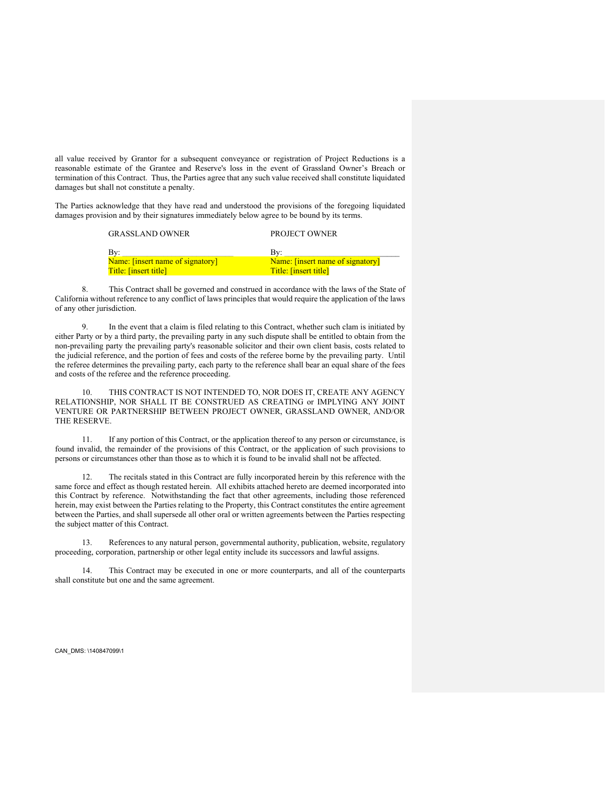all value received by Grantor for a subsequent conveyance or registration of Project Reductions is a reasonable estimate of the Grantee and Reserve's loss in the event of Grassland Owner's Breach or termination of this Contract. Thus, the Parties agree that any such value received shall constitute liquidated damages but shall not constitute a penalty.

The Parties acknowledge that they have read and understood the provisions of the foregoing liquidated damages provision and by their signatures immediately below agree to be bound by its terms.

| <b>GRASSLAND OWNER</b>           | <b>PROJECT OWNER</b>             |
|----------------------------------|----------------------------------|
| Bv:                              | Bv:                              |
| Name: [insert name of signatory] | Name: [insert name of signatory] |
| Title: [insert title]            | Title: [insert title]            |

8. This Contract shall be governed and construed in accordance with the laws of the State of California without reference to any conflict of laws principles that would require the application of the laws of any other jurisdiction.

9. In the event that a claim is filed relating to this Contract, whether such clam is initiated by either Party or by a third party, the prevailing party in any such dispute shall be entitled to obtain from the non-prevailing party the prevailing party's reasonable solicitor and their own client basis, costs related to the judicial reference, and the portion of fees and costs of the referee borne by the prevailing party. Until the referee determines the prevailing party, each party to the reference shall bear an equal share of the fees and costs of the referee and the reference proceeding.

10. THIS CONTRACT IS NOT INTENDED TO, NOR DOES IT, CREATE ANY AGENCY RELATIONSHIP, NOR SHALL IT BE CONSTRUED AS CREATING or IMPLYING ANY JOINT VENTURE OR PARTNERSHIP BETWEEN PROJECT OWNER, GRASSLAND OWNER, AND/OR THE RESERVE.

11. If any portion of this Contract, or the application thereof to any person or circumstance, is found invalid, the remainder of the provisions of this Contract, or the application of such provisions to persons or circumstances other than those as to which it is found to be invalid shall not be affected.

12. The recitals stated in this Contract are fully incorporated herein by this reference with the same force and effect as though restated herein. All exhibits attached hereto are deemed incorporated into this Contract by reference. Notwithstanding the fact that other agreements, including those referenced herein, may exist between the Parties relating to the Property, this Contract constitutes the entire agreement between the Parties, and shall supersede all other oral or written agreements between the Parties respecting the subject matter of this Contract.

13. References to any natural person, governmental authority, publication, website, regulatory proceeding, corporation, partnership or other legal entity include its successors and lawful assigns.

14. This Contract may be executed in one or more counterparts, and all of the counterparts shall constitute but one and the same agreement.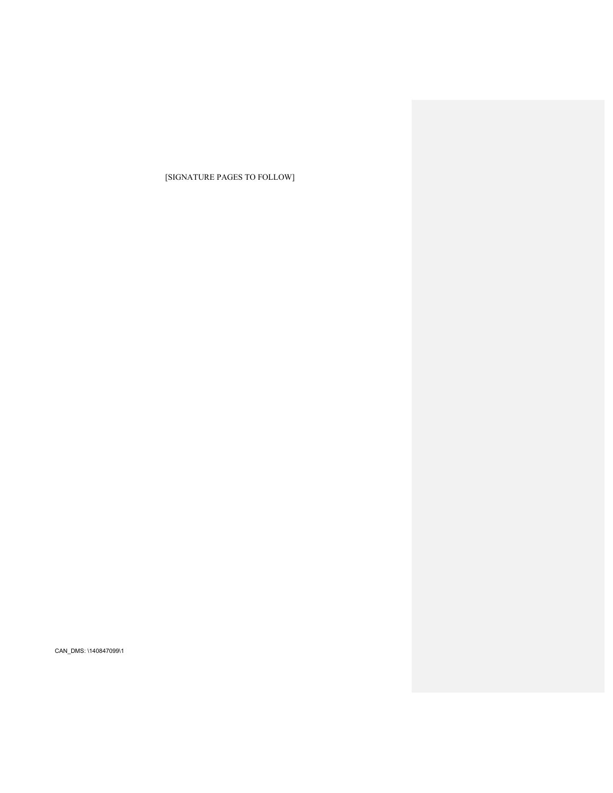[SIGNATURE PAGES TO FOLLOW]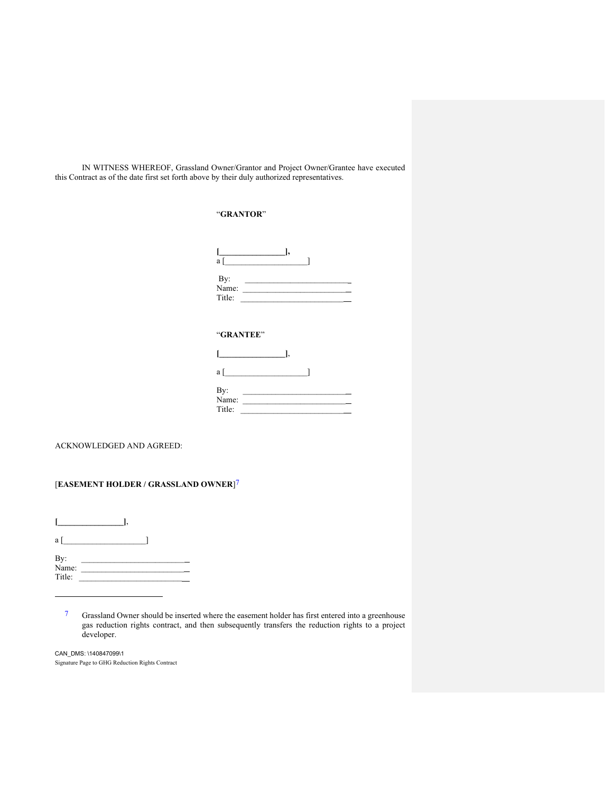IN WITNESS WHEREOF, Grassland Owner/Grantor and Project Owner/Grantee have executed this Contract as of the date first set forth above by their duly authorized representatives.

## "**GRANTOR**"

| a            |  |  |
|--------------|--|--|
| By:<br>Name: |  |  |
| Title:       |  |  |

## "**GRANTEE**"

| a            |  |  |  |
|--------------|--|--|--|
| By:<br>Name: |  |  |  |
| Title:       |  |  |  |

ACKNOWLEDGED AND AGREED:

# [**EASEMENT HOLDER / GRASSLAND OWNER**]7

**[\_\_\_\_\_\_\_\_\_\_\_\_\_\_\_\_]**, a  $[\_$  $By:$ Name:  $\Box$ Title:  $\qquad \qquad \qquad \qquad$ 

7 Grassland Owner should be inserted where the easement holder has first entered into a greenhouse gas reduction rights contract, and then subsequently transfers the reduction rights to a project developer.

Signature Page to GHG Reduction Rights Contract CAN\_DMS: \140847099\1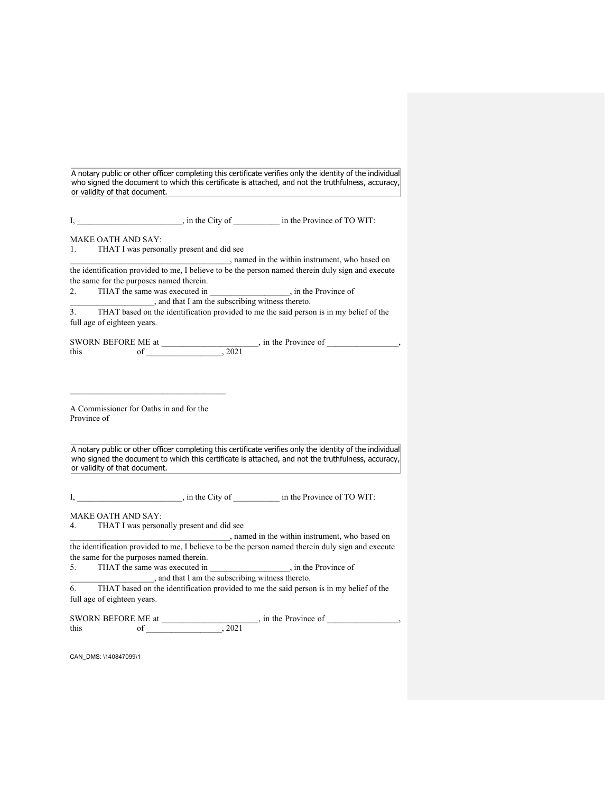A notary public or other officer completing this certificate verifies only the identity of the individual who signed the document to which this certificate is attached, and not the truthfulness, accuracy, or validity of that document.

I, https://www.midthermolectricity of  $\qquad$  in the Province of TO WIT:

MAKE OATH AND SAY:

1. THAT I was personally present and did see

\_\_\_\_\_\_\_\_\_\_\_\_\_\_\_\_\_\_\_\_\_\_\_\_\_\_\_\_\_\_\_\_\_\_\_\_\_\_, named in the within instrument, who based on the identification provided to me, I believe to be the person named therein duly sign and execute the same for the purposes named therein.

2. THAT the same was executed in \_\_\_\_\_\_\_\_\_\_\_\_\_\_\_\_, in the Province of \_\_\_\_\_\_\_\_\_\_\_\_\_\_\_\_\_\_\_\_, and that I am the subscribing witness thereto.

3. THAT based on the identification provided to me the said person is in my belief of the full age of eighteen years.

SWORN BEFORE ME at  $\qquad \qquad$ , in the Province of  $\qquad \qquad$ , this of  $, 2021$ 

A Commissioner for Oaths in and for the Province of

A notary public or other officer completing this certificate verifies only the identity of the individual who signed the document to which this certificate is attached, and not the truthfulness, accuracy, or validity of that document.

I, https://www.midthermolectricity of  $\qquad$  in the Province of TO WIT:

MAKE OATH AND SAY:

4. THAT I was personally present and did see

\_\_\_\_\_\_\_\_\_\_\_\_\_\_\_\_\_\_\_\_\_\_\_\_\_\_\_\_\_\_\_\_\_\_\_\_\_\_, named in the within instrument, who based on the identification provided to me, I believe to be the person named therein duly sign and execute the same for the purposes named therein.

5. THAT the same was executed in \_\_\_\_\_\_\_\_\_\_\_\_\_\_\_\_, in the Province of \_\_\_\_\_\_\_\_\_\_\_\_\_\_\_\_\_\_\_\_, and that I am the subscribing witness thereto.

6. THAT based on the identification provided to me the said person is in my belief of the full age of eighteen years.

SWORN BEFORE ME at  $\qquad \qquad$ , in the Province of  $\qquad \qquad$ , this of  $, 2021$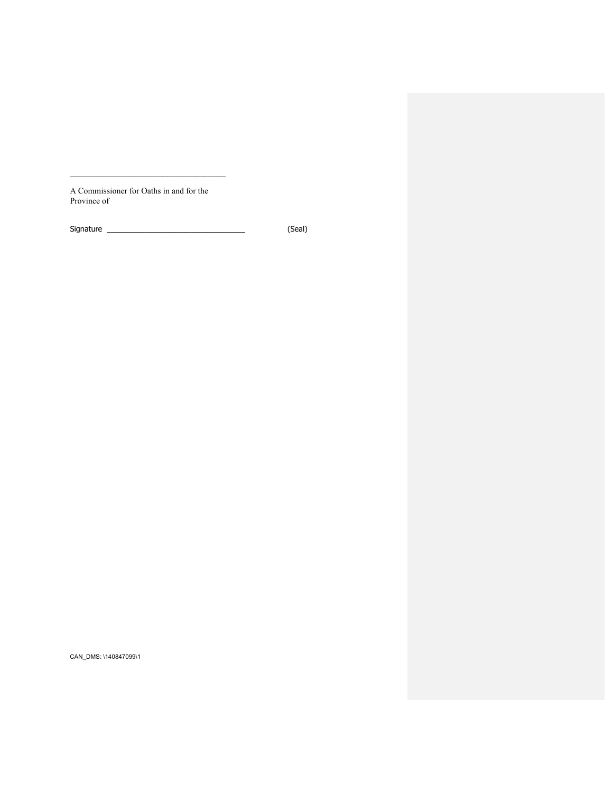A Commissioner for Oaths in and for the Province of

Signature \_\_\_\_\_\_\_\_\_\_\_\_\_\_\_\_\_\_\_\_\_\_\_\_\_\_\_\_\_\_\_\_\_ (Seal)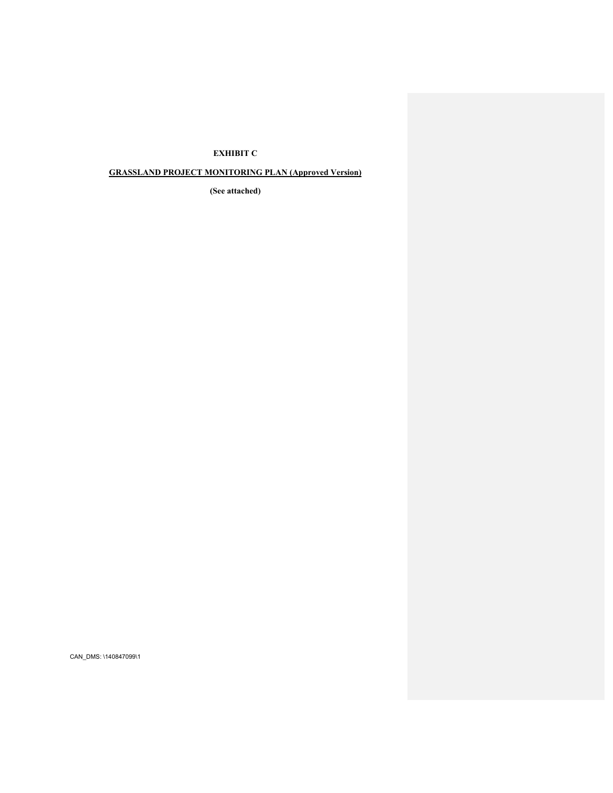## **EXHIBIT C**

# **GRASSLAND PROJECT MONITORING PLAN (Approved Version)**

**(See attached)**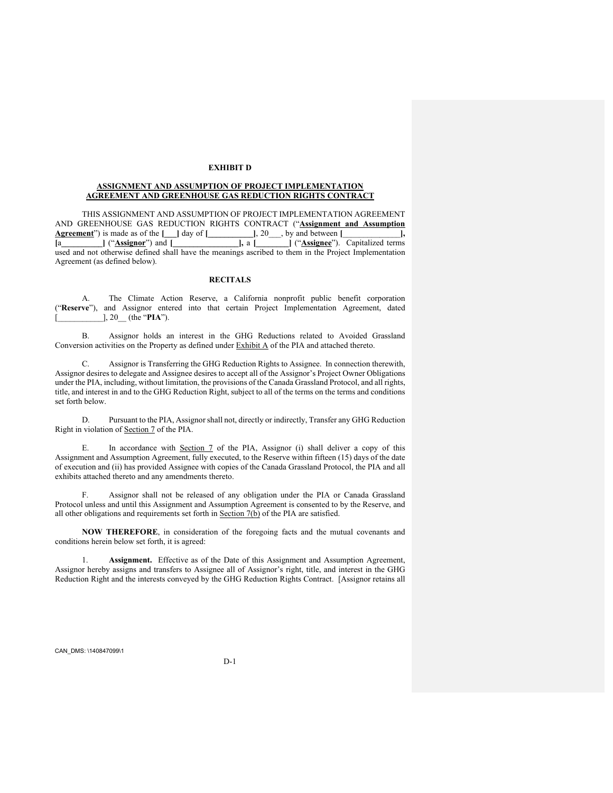### **EXHIBIT D**

#### **ASSIGNMENT AND ASSUMPTION OF PROJECT IMPLEMENTATION AGREEMENT AND GREENHOUSE GAS REDUCTION RIGHTS CONTRACT**

THIS ASSIGNMENT AND ASSUMPTION OF PROJECT IMPLEMENTATION AGREEMENT AND GREENHOUSE GAS REDUCTION RIGHTS CONTRACT ("**Assignment and Assumption Agreement**") is made as of the [ \_ ] day of [ \_ \_ \_ \_ \_ ], 20 \_ , by and between [ \_ \_ \_ ], **Agreement**") is made as of the **[\_\_\_]** day of **[\_\_\_\_\_\_\_\_\_\_\_]**, 20\_\_\_, by and between **[**\_\_\_\_\_\_\_\_\_\_\_\_\_\_**], [**a**\_\_\_\_\_\_\_\_\_\_]** ("**Assignor**") and **[\_\_\_\_\_\_\_\_\_\_\_\_\_\_\_\_],** a **[\_\_\_\_\_\_\_\_]** ("**Assignee**"). Capitalized terms used and not otherwise defined shall have the meanings ascribed to them in the Project Implementation Agreement (as defined below).

### **RECITALS**

A. The Climate Action Reserve, a California nonprofit public benefit corporation ("**Reserve**"), and Assignor entered into that certain Project Implementation Agreement, dated [\_\_\_\_\_\_\_\_\_\_\_], 20\_\_ (the "**PIA**").

B. Assignor holds an interest in the GHG Reductions related to Avoided Grassland Conversion activities on the Property as defined under  $\frac{\text{Exhibit A}}{\text{A}}$  of the PIA and attached thereto.

C. Assignor is Transferring the GHG Reduction Rights to Assignee. In connection therewith, Assignor desires to delegate and Assignee desires to accept all of the Assignor's Project Owner Obligations under the PIA, including, without limitation, the provisions of the Canada Grassland Protocol, and all rights, title, and interest in and to the GHG Reduction Right, subject to all of the terms on the terms and conditions set forth below.

D. Pursuant to the PIA, Assignor shall not, directly or indirectly, Transfer any GHG Reduction Right in violation of Section 7 of the PIA.

E. In accordance with Section 7 of the PIA, Assignor (i) shall deliver a copy of this Assignment and Assumption Agreement, fully executed, to the Reserve within fifteen (15) days of the date of execution and (ii) has provided Assignee with copies of the Canada Grassland Protocol, the PIA and all exhibits attached thereto and any amendments thereto.

F. Assignor shall not be released of any obligation under the PIA or Canada Grassland Protocol unless and until this Assignment and Assumption Agreement is consented to by the Reserve, and all other obligations and requirements set forth in Section 7(b) of the PIA are satisfied.

**NOW THEREFORE**, in consideration of the foregoing facts and the mutual covenants and conditions herein below set forth, it is agreed:

1. **Assignment.** Effective as of the Date of this Assignment and Assumption Agreement, Assignor hereby assigns and transfers to Assignee all of Assignor's right, title, and interest in the GHG Reduction Right and the interests conveyed by the GHG Reduction Rights Contract. [Assignor retains all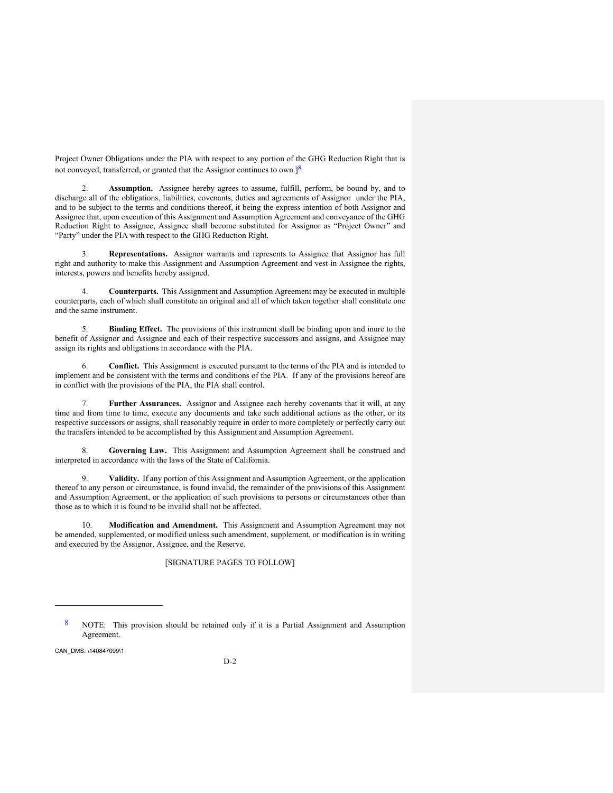Project Owner Obligations under the PIA with respect to any portion of the GHG Reduction Right that is not conveyed, transferred, or granted that the Assignor continues to own.] $8$ 

Assumption. Assignee hereby agrees to assume, fulfill, perform, be bound by, and to discharge all of the obligations, liabilities, covenants, duties and agreements of Assignor under the PIA, and to be subject to the terms and conditions thereof, it being the express intention of both Assignor and Assignee that, upon execution of this Assignment and Assumption Agreement and conveyance of the GHG Reduction Right to Assignee, Assignee shall become substituted for Assignor as "Project Owner" and "Party" under the PIA with respect to the GHG Reduction Right.

3. **Representations.** Assignor warrants and represents to Assignee that Assignor has full right and authority to make this Assignment and Assumption Agreement and vest in Assignee the rights, interests, powers and benefits hereby assigned.

4. **Counterparts.** This Assignment and Assumption Agreement may be executed in multiple counterparts, each of which shall constitute an original and all of which taken together shall constitute one and the same instrument.

5. **Binding Effect.** The provisions of this instrument shall be binding upon and inure to the benefit of Assignor and Assignee and each of their respective successors and assigns, and Assignee may assign its rights and obligations in accordance with the PIA.

6. **Conflict.** This Assignment is executed pursuant to the terms of the PIA and is intended to implement and be consistent with the terms and conditions of the PIA. If any of the provisions hereof are in conflict with the provisions of the PIA, the PIA shall control.

7. **Further Assurances.** Assignor and Assignee each hereby covenants that it will, at any time and from time to time, execute any documents and take such additional actions as the other, or its respective successors or assigns, shall reasonably require in order to more completely or perfectly carry out the transfers intended to be accomplished by this Assignment and Assumption Agreement.

8. **Governing Law.** This Assignment and Assumption Agreement shall be construed and interpreted in accordance with the laws of the State of California.

9. **Validity.** If any portion of this Assignment and Assumption Agreement, or the application thereof to any person or circumstance, is found invalid, the remainder of the provisions of this Assignment and Assumption Agreement, or the application of such provisions to persons or circumstances other than those as to which it is found to be invalid shall not be affected.

10. **Modification and Amendment.** This Assignment and Assumption Agreement may not be amended, supplemented, or modified unless such amendment, supplement, or modification is in writing and executed by the Assignor, Assignee, and the Reserve.

[SIGNATURE PAGES TO FOLLOW]

<sup>8</sup> NOTE: This provision should be retained only if it is a Partial Assignment and Assumption Agreement.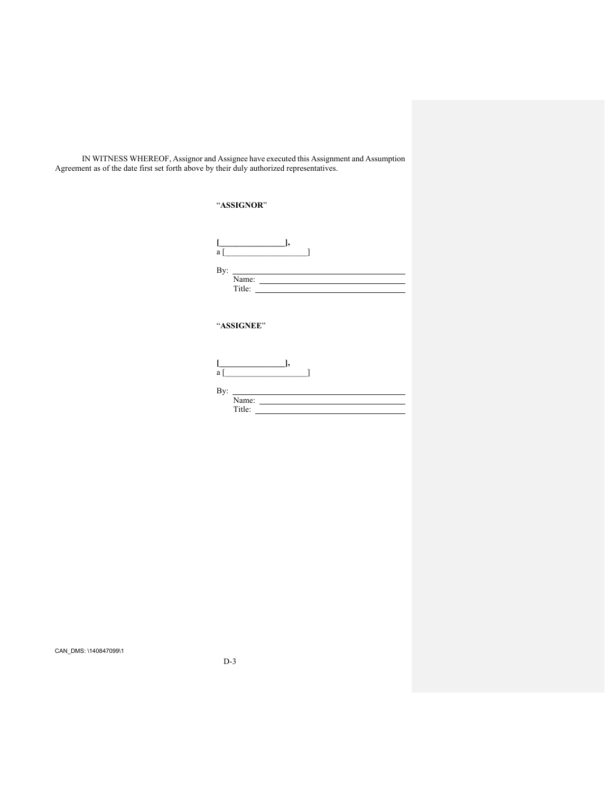IN WITNESS WHEREOF, Assignor and Assignee have executed this Assignment and Assumption Agreement as of the date first set forth above by their duly authorized representatives.

|            | "ASSIGNOR"                                                                                                                 |
|------------|----------------------------------------------------------------------------------------------------------------------------|
|            | $\qquad \qquad \Box$<br>$a \left[ \begin{array}{ccc} 1 & 1 \\ 1 & 1 \end{array} \right]$                                   |
| By:        | <u> Albanya (Albanya) albanyi di sebagai pada salah sahiji di sebagai pada salah salah salah sa</u>                        |
| "ASSIGNEE" |                                                                                                                            |
|            | $\begin{bmatrix} 1 & 1 & 1 \\ 1 & 1 & 1 \end{bmatrix}$<br>$a \left[ \begin{array}{ccc} 1 & 1 \\ 1 & 1 \end{array} \right]$ |
| By:        | Name:<br>Title:                                                                                                            |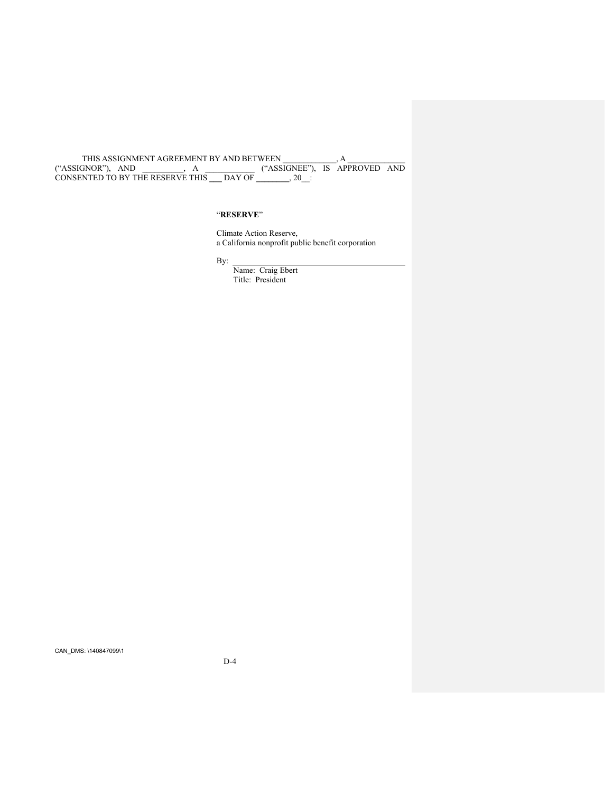THIS ASSIGNMENT AGREEMENT BY AND BETWEEN \_\_\_\_\_\_\_\_\_\_\_\_\_, A \_\_\_\_\_\_\_\_\_\_\_\_\_\_ ("ASSIGNOR"), AND \_\_\_\_\_\_\_\_\_\_, A \_\_\_\_\_\_\_\_\_\_\_\_ ("ASSIGNEE"), IS APPROVED AND CONSENTED TO BY THE RESERVE THIS **\_\_\_** DAY OF **\_\_\_\_\_\_\_\_**, 20\_\_:

## "**RESERVE**"

Climate Action Reserve, a California nonprofit public benefit corporation

By:

Name: Craig Ebert Title: President